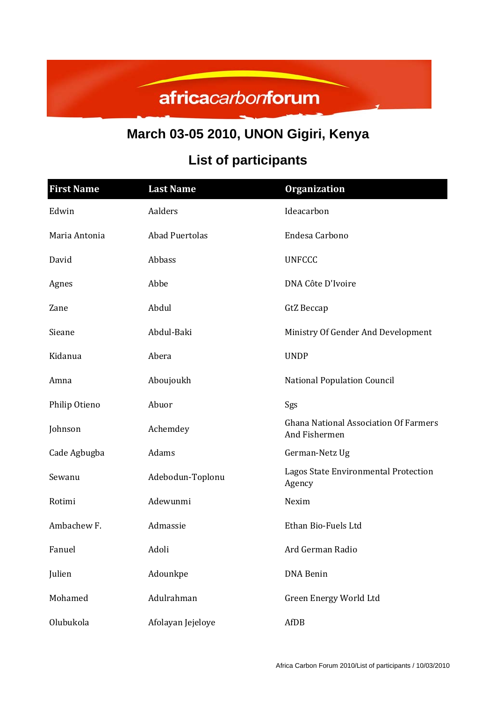## africacarbonforum

## **March 03-05 2010, UNON Gigiri, Kenya**

## **List of participants**

| <b>First Name</b> | <b>Last Name</b>      | <b>Organization</b>                                           |
|-------------------|-----------------------|---------------------------------------------------------------|
| Edwin             | Aalders               | Ideacarbon                                                    |
| Maria Antonia     | <b>Abad Puertolas</b> | Endesa Carbono                                                |
| David             | Abbass                | <b>UNFCCC</b>                                                 |
| Agnes             | Abbe                  | DNA Côte D'Ivoire                                             |
| Zane              | Abdul                 | GtZ Beccap                                                    |
| Sieane            | Abdul-Baki            | Ministry Of Gender And Development                            |
| Kidanua           | Abera                 | <b>UNDP</b>                                                   |
| Amna              | Aboujoukh             | <b>National Population Council</b>                            |
| Philip Otieno     | Abuor                 | Sgs                                                           |
| Johnson           | Achemdey              | <b>Ghana National Association Of Farmers</b><br>And Fishermen |
| Cade Agbugba      | Adams                 | German-Netz Ug                                                |
| Sewanu            | Adebodun-Toplonu      | Lagos State Environmental Protection<br>Agency                |
| Rotimi            | Adewunmi              | Nexim                                                         |
| Ambachew F.       | Admassie              | Ethan Bio-Fuels Ltd                                           |
| Fanuel            | Adoli                 | Ard German Radio                                              |
| Julien            | Adounkpe              | DNA Benin                                                     |
| Mohamed           | Adulrahman            | Green Energy World Ltd                                        |
| Olubukola         | Afolayan Jejeloye     | AfDB                                                          |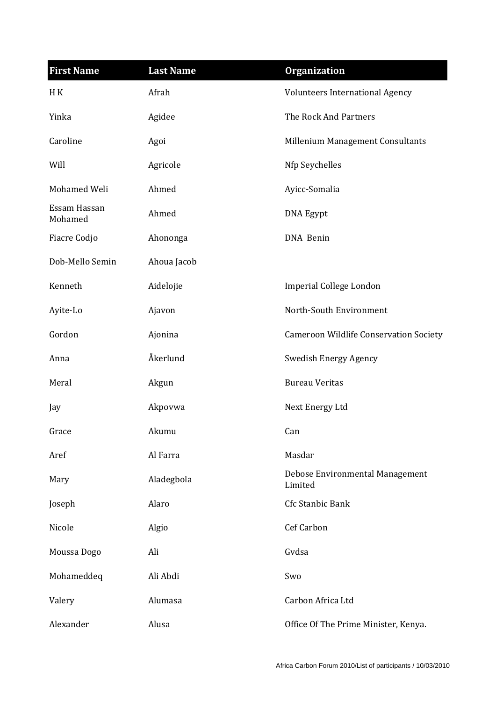| <b>First Name</b>       | <b>Last Name</b> | <b>Organization</b>                           |
|-------------------------|------------------|-----------------------------------------------|
| H K                     | Afrah            | Volunteers International Agency               |
| Yinka                   | Agidee           | The Rock And Partners                         |
| Caroline                | Agoi             | Millenium Management Consultants              |
| Will                    | Agricole         | Nfp Seychelles                                |
| Mohamed Weli            | Ahmed            | Ayicc-Somalia                                 |
| Essam Hassan<br>Mohamed | Ahmed            | <b>DNA Egypt</b>                              |
| Fiacre Codjo            | Ahononga         | DNA Benin                                     |
| Dob-Mello Semin         | Ahoua Jacob      |                                               |
| Kenneth                 | Aidelojie        | Imperial College London                       |
| Ayite-Lo                | Ajavon           | North-South Environment                       |
| Gordon                  | Ajonina          | <b>Cameroon Wildlife Conservation Society</b> |
| Anna                    | Åkerlund         | Swedish Energy Agency                         |
| Meral                   | Akgun            | <b>Bureau Veritas</b>                         |
| Jay                     | Akpovwa          | Next Energy Ltd                               |
| Grace                   | Akumu            | Can                                           |
| Aref                    | Al Farra         | Masdar                                        |
| Mary                    | Aladegbola       | Debose Environmental Management<br>Limited    |
| Joseph                  | Alaro            | Cfc Stanbic Bank                              |
| Nicole                  | Algio            | Cef Carbon                                    |
| Moussa Dogo             | Ali              | Gvdsa                                         |
| Mohameddeq              | Ali Abdi         | Swo                                           |
| Valery                  | Alumasa          | Carbon Africa Ltd                             |
| Alexander               | Alusa            | Office Of The Prime Minister, Kenya.          |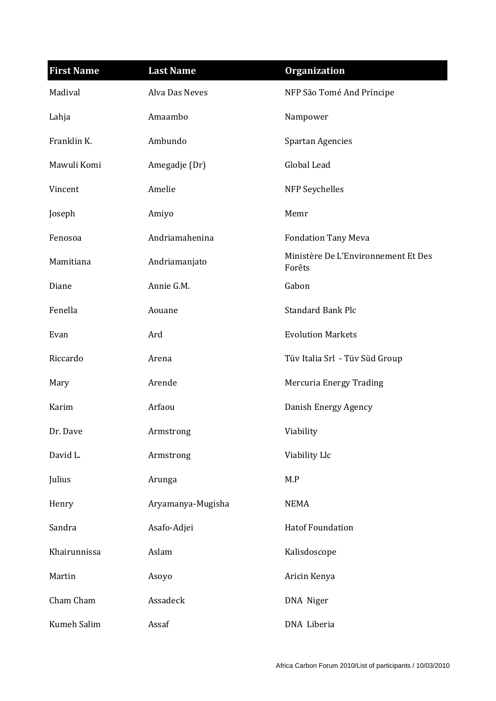| <b>First Name</b> | <b>Last Name</b>  | <b>Organization</b>                           |
|-------------------|-------------------|-----------------------------------------------|
| Madival           | Alva Das Neves    | NFP São Tomé And Príncipe                     |
| Lahja             | Amaambo           | Nampower                                      |
| Franklin K.       | Ambundo           | <b>Spartan Agencies</b>                       |
| Mawuli Komi       | Amegadje (Dr)     | Global Lead                                   |
| Vincent           | Amelie            | NFP Seychelles                                |
| Joseph            | Amiyo             | Memr                                          |
| Fenosoa           | Andriamahenina    | <b>Fondation Tany Meva</b>                    |
| Mamitiana         | Andriamanjato     | Ministère De L'Environnement Et Des<br>Forêts |
| Diane             | Annie G.M.        | Gabon                                         |
| Fenella           | Aouane            | <b>Standard Bank Plc</b>                      |
| Evan              | Ard               | <b>Evolution Markets</b>                      |
| Riccardo          | Arena             | Tüv Italia Srl - Tüv Süd Group                |
| Mary              | Arende            | Mercuria Energy Trading                       |
| Karim             | Arfaou            | Danish Energy Agency                          |
| Dr. Dave          | Armstrong         | Viability                                     |
| David L.          | Armstrong         | Viability Llc                                 |
| Julius            | Arunga            | M.P                                           |
| Henry             | Aryamanya-Mugisha | <b>NEMA</b>                                   |
| Sandra            | Asafo-Adjei       | <b>Hatof Foundation</b>                       |
| Khairunnissa      | Aslam             | Kalisdoscope                                  |
| Martin            | Asoyo             | Aricin Kenya                                  |
| Cham Cham         | Assadeck          | DNA Niger                                     |
| Kumeh Salim       | Assaf             | DNA Liberia                                   |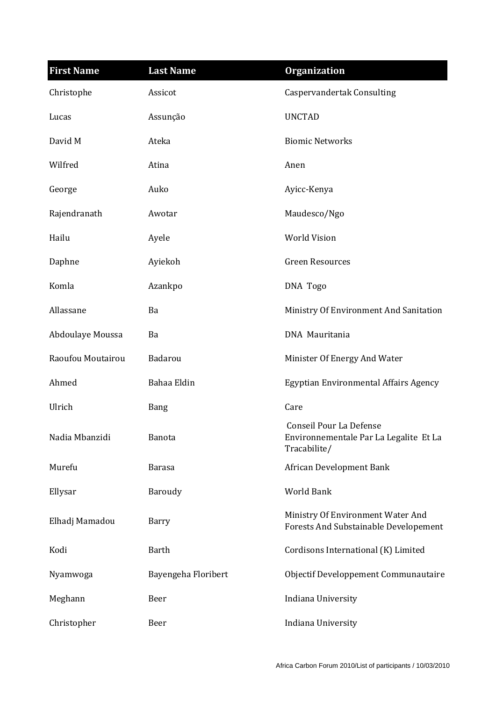| <b>First Name</b> | <b>Last Name</b>    | <b>Organization</b>                                                                      |
|-------------------|---------------------|------------------------------------------------------------------------------------------|
| Christophe        | Assicot             | <b>Caspervandertak Consulting</b>                                                        |
| Lucas             | Assunção            | <b>UNCTAD</b>                                                                            |
| David M           | Ateka               | <b>Biomic Networks</b>                                                                   |
| Wilfred           | Atina               | Anen                                                                                     |
| George            | Auko                | Ayicc-Kenya                                                                              |
| Rajendranath      | Awotar              | Maudesco/Ngo                                                                             |
| Hailu             | Ayele               | <b>World Vision</b>                                                                      |
| Daphne            | Ayiekoh             | <b>Green Resources</b>                                                                   |
| Komla             | Azankpo             | DNA Togo                                                                                 |
| Allassane         | Ba                  | Ministry Of Environment And Sanitation                                                   |
| Abdoulaye Moussa  | Ba                  | DNA Mauritania                                                                           |
| Raoufou Moutairou | Badarou             | Minister Of Energy And Water                                                             |
| Ahmed             | Bahaa Eldin         | Egyptian Environmental Affairs Agency                                                    |
| Ulrich            | <b>Bang</b>         | Care                                                                                     |
| Nadia Mbanzidi    | <b>Banota</b>       | <b>Conseil Pour La Defense</b><br>Environnementale Par La Legalite Et La<br>Tracabilite/ |
| Murefu            | Barasa              | African Development Bank                                                                 |
| Ellysar           | Baroudy             | World Bank                                                                               |
| Elhadj Mamadou    | Barry               | Ministry Of Environment Water And<br>Forests And Substainable Developement               |
| Kodi              | <b>Barth</b>        | Cordisons International (K) Limited                                                      |
| Nyamwoga          | Bayengeha Floribert | Objectif Developpement Communautaire                                                     |
| Meghann           | Beer                | Indiana University                                                                       |
| Christopher       | Beer                | Indiana University                                                                       |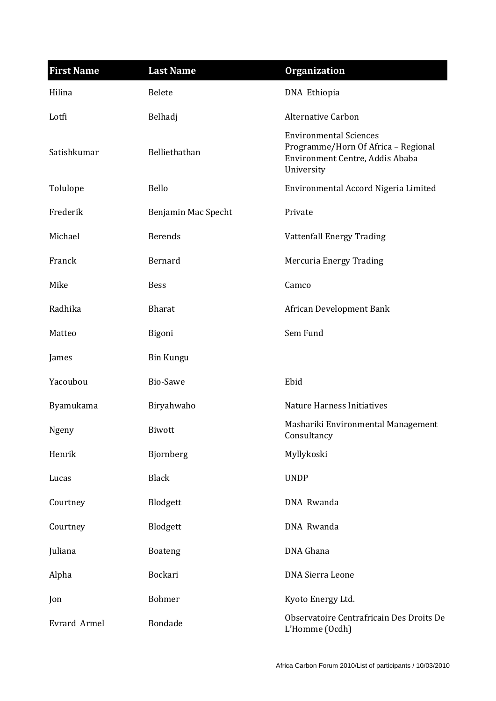| <b>First Name</b> | <b>Last Name</b>    | <b>Organization</b>                                                                                                   |
|-------------------|---------------------|-----------------------------------------------------------------------------------------------------------------------|
| Hilina            | <b>Belete</b>       | DNA Ethiopia                                                                                                          |
| Lotfi             | Belhadj             | <b>Alternative Carbon</b>                                                                                             |
| Satishkumar       | Belliethathan       | <b>Environmental Sciences</b><br>Programme/Horn Of Africa - Regional<br>Environment Centre, Addis Ababa<br>University |
| Tolulope          | Bello               | Environmental Accord Nigeria Limited                                                                                  |
| Frederik          | Benjamin Mac Specht | Private                                                                                                               |
| Michael           | <b>Berends</b>      | <b>Vattenfall Energy Trading</b>                                                                                      |
| Franck            | Bernard             | Mercuria Energy Trading                                                                                               |
| Mike              | <b>Bess</b>         | Camco                                                                                                                 |
| Radhika           | <b>Bharat</b>       | African Development Bank                                                                                              |
| Matteo            | Bigoni              | Sem Fund                                                                                                              |
| James             | <b>Bin Kungu</b>    |                                                                                                                       |
| Yacoubou          | Bio-Sawe            | Ebid                                                                                                                  |
| Byamukama         | Biryahwaho          | <b>Nature Harness Initiatives</b>                                                                                     |
| Ngeny             | Biwott              | Mashariki Environmental Management<br>Consultancy                                                                     |
| Henrik            | Bjornberg           | Myllykoski                                                                                                            |
| Lucas             | <b>Black</b>        | <b>UNDP</b>                                                                                                           |
| Courtney          | Blodgett            | DNA Rwanda                                                                                                            |
| Courtney          | Blodgett            | DNA Rwanda                                                                                                            |
| Juliana           | <b>Boateng</b>      | DNA Ghana                                                                                                             |
| Alpha             | Bockari             | <b>DNA Sierra Leone</b>                                                                                               |
| Jon               | Bohmer              | Kyoto Energy Ltd.                                                                                                     |
| Evrard Armel      | Bondade             | Observatoire Centrafricain Des Droits De<br>L'Homme (Ocdh)                                                            |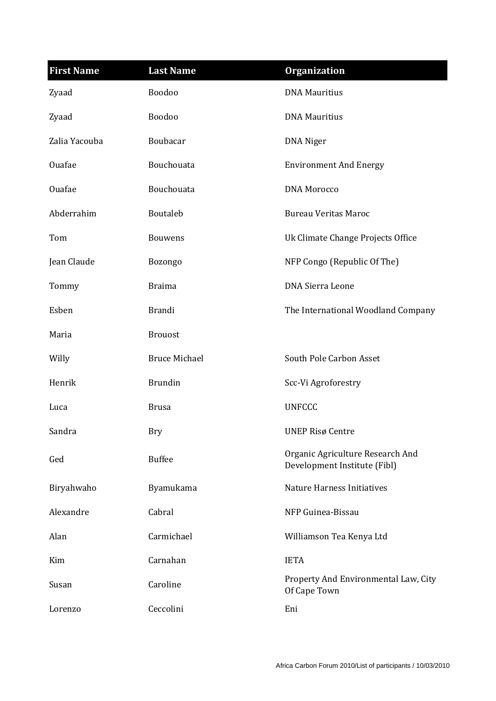| <b>First Name</b> | <b>Last Name</b>     | <b>Organization</b>                                              |
|-------------------|----------------------|------------------------------------------------------------------|
| Zyaad             | Boodoo               | <b>DNA Mauritius</b>                                             |
| Zyaad             | Boodoo               | <b>DNA Mauritius</b>                                             |
| Zalia Yacouba     | Boubacar             | <b>DNA</b> Niger                                                 |
| <b>Ouafae</b>     | Bouchouata           | <b>Environment And Energy</b>                                    |
| Ouafae            | Bouchouata           | <b>DNA</b> Morocco                                               |
| Abderrahim        | Boutaleb             | <b>Bureau Veritas Maroc</b>                                      |
| Tom               | <b>Bouwens</b>       | Uk Climate Change Projects Office                                |
| Jean Claude       | Bozongo              | NFP Congo (Republic Of The)                                      |
| Tommy             | <b>Braima</b>        | <b>DNA Sierra Leone</b>                                          |
| Esben             | <b>Brandi</b>        | The International Woodland Company                               |
| Maria             | <b>Brouost</b>       |                                                                  |
| Willy             | <b>Bruce Michael</b> | South Pole Carbon Asset                                          |
| Henrik            | <b>Brundin</b>       | Scc-Vi Agroforestry                                              |
| Luca              | <b>Brusa</b>         | <b>UNFCCC</b>                                                    |
| Sandra            | <b>Bry</b>           | <b>UNEP Risø Centre</b>                                          |
| Ged               | <b>Buffee</b>        | Organic Agriculture Research And<br>Development Institute (Fibl) |
| Biryahwaho        | Byamukama            | <b>Nature Harness Initiatives</b>                                |
| Alexandre         | Cabral               | NFP Guinea-Bissau                                                |
| Alan              | Carmichael           | Williamson Tea Kenya Ltd                                         |
| Kim               | Carnahan             | <b>IETA</b>                                                      |
| Susan             | Caroline             | Property And Environmental Law, City<br>Of Cape Town             |
| Lorenzo           | Ceccolini            | Eni                                                              |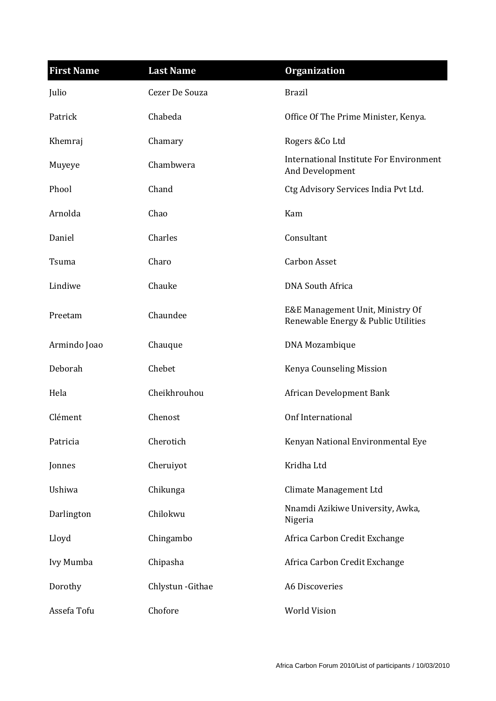| <b>First Name</b> | <b>Last Name</b>  | <b>Organization</b>                                                     |
|-------------------|-------------------|-------------------------------------------------------------------------|
| Julio             | Cezer De Souza    | <b>Brazil</b>                                                           |
| Patrick           | Chabeda           | Office Of The Prime Minister, Kenya.                                    |
| Khemraj           | Chamary           | Rogers & Co Ltd                                                         |
| Muyeye            | Chambwera         | International Institute For Environment<br>And Development              |
| Phool             | Chand             | Ctg Advisory Services India Pvt Ltd.                                    |
| Arnolda           | Chao              | Kam                                                                     |
| Daniel            | Charles           | Consultant                                                              |
| Tsuma             | Charo             | <b>Carbon Asset</b>                                                     |
| Lindiwe           | Chauke            | <b>DNA South Africa</b>                                                 |
| Preetam           | Chaundee          | E&E Management Unit, Ministry Of<br>Renewable Energy & Public Utilities |
| Armindo Joao      | Chauque           | DNA Mozambique                                                          |
| Deborah           | Chebet            | Kenya Counseling Mission                                                |
| Hela              | Cheikhrouhou      | African Development Bank                                                |
| Clément           | Chenost           | Onf International                                                       |
| Patricia          | Cherotich         | Kenyan National Environmental Eye                                       |
| Jonnes            | Cheruiyot         | Kridha Ltd                                                              |
| Ushiwa            | Chikunga          | Climate Management Ltd                                                  |
| Darlington        | Chilokwu          | Nnamdi Azikiwe University, Awka,<br>Nigeria                             |
| Lloyd             | Chingambo         | Africa Carbon Credit Exchange                                           |
| Ivy Mumba         | Chipasha          | Africa Carbon Credit Exchange                                           |
| Dorothy           | Chlystun - Githae | A6 Discoveries                                                          |
| Assefa Tofu       | Chofore           | <b>World Vision</b>                                                     |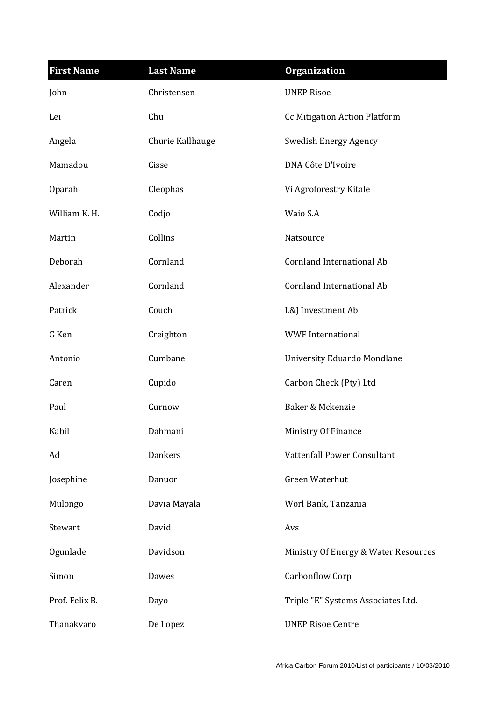| <b>First Name</b> | <b>Last Name</b> | <b>Organization</b>                  |
|-------------------|------------------|--------------------------------------|
| John              | Christensen      | <b>UNEP Risoe</b>                    |
| Lei               | Chu              | <b>Cc Mitigation Action Platform</b> |
| Angela            | Churie Kallhauge | Swedish Energy Agency                |
| Mamadou           | Cisse            | DNA Côte D'Ivoire                    |
| Oparah            | Cleophas         | Vi Agroforestry Kitale               |
| William K. H.     | Codjo            | Waio S.A                             |
| Martin            | Collins          | Natsource                            |
| Deborah           | Cornland         | <b>Cornland International Ab</b>     |
| Alexander         | Cornland         | <b>Cornland International Ab</b>     |
| Patrick           | Couch            | L&J Investment Ab                    |
| G Ken             | Creighton        | <b>WWF</b> International             |
| Antonio           | Cumbane          | University Eduardo Mondlane          |
| Caren             | Cupido           | Carbon Check (Pty) Ltd               |
| Paul              | Curnow           | Baker & Mckenzie                     |
| Kabil             | Dahmani          | Ministry Of Finance                  |
| Ad                | <b>Dankers</b>   | Vattenfall Power Consultant          |
| Josephine         | Danuor           | <b>Green Waterhut</b>                |
| Mulongo           | Davia Mayala     | Worl Bank, Tanzania                  |
| Stewart           | David            | Avs                                  |
| Ogunlade          | Davidson         | Ministry Of Energy & Water Resources |
| Simon             | Dawes            | Carbonflow Corp                      |
| Prof. Felix B.    | Dayo             | Triple "E" Systems Associates Ltd.   |
| Thanakvaro        | De Lopez         | <b>UNEP Risoe Centre</b>             |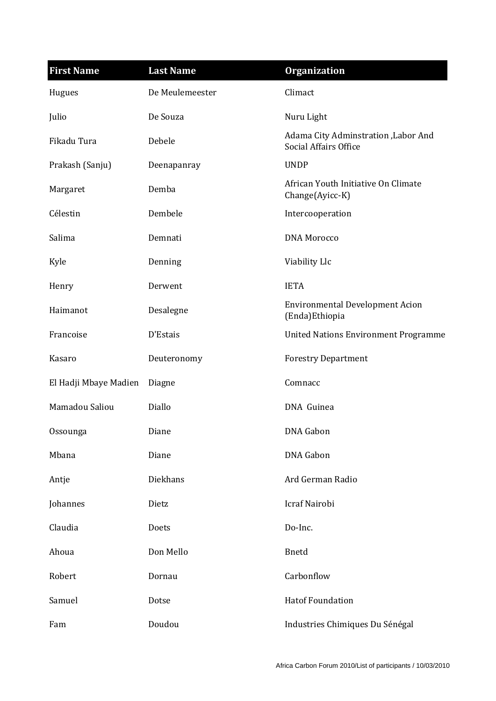| <b>First Name</b>     | <b>Last Name</b> | <b>Organization</b>                                                  |
|-----------------------|------------------|----------------------------------------------------------------------|
| Hugues                | De Meulemeester  | Climact                                                              |
| Julio                 | De Souza         | Nuru Light                                                           |
| Fikadu Tura           | Debele           | Adama City Adminstration , Labor And<br><b>Social Affairs Office</b> |
| Prakash (Sanju)       | Deenapanray      | <b>UNDP</b>                                                          |
| Margaret              | Demba            | African Youth Initiative On Climate<br>Change(Ayicc-K)               |
| Célestin              | Dembele          | Intercooperation                                                     |
| Salima                | Demnati          | <b>DNA</b> Morocco                                                   |
| Kyle                  | Denning          | Viability Llc                                                        |
| Henry                 | Derwent          | <b>IETA</b>                                                          |
| Haimanot              | Desalegne        | <b>Environmental Development Acion</b><br>(Enda) Ethiopia            |
| Francoise             | D'Estais         | <b>United Nations Environment Programme</b>                          |
| Kasaro                | Deuteronomy      | <b>Forestry Department</b>                                           |
| El Hadji Mbaye Madien | Diagne           | Comnacc                                                              |
| Mamadou Saliou        | Diallo           | DNA Guinea                                                           |
| Ossounga              | Diane            | DNA Gabon                                                            |
| Mbana                 | Diane            | <b>DNA</b> Gabon                                                     |
| Antje                 | Diekhans         | Ard German Radio                                                     |
| Johannes              | Dietz            | Icraf Nairobi                                                        |
| Claudia               | Doets            | Do-Inc.                                                              |
| Ahoua                 | Don Mello        | <b>Bnetd</b>                                                         |
| Robert                | Dornau           | Carbonflow                                                           |
| Samuel                | Dotse            | <b>Hatof Foundation</b>                                              |
| Fam                   | Doudou           | Industries Chimiques Du Sénégal                                      |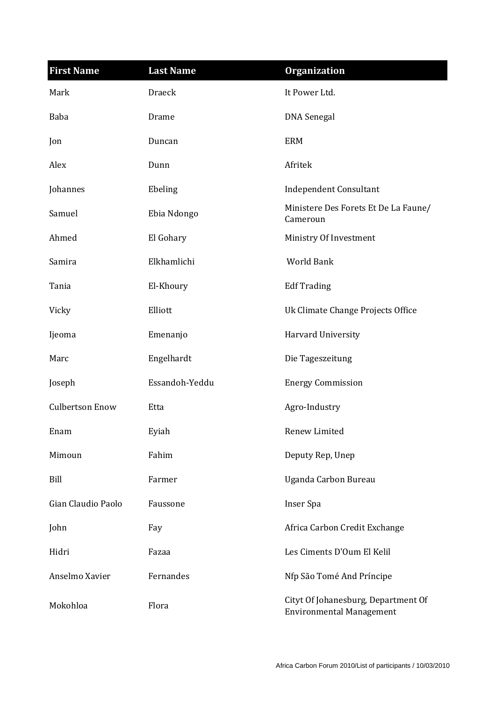| <b>First Name</b>      | <b>Last Name</b> | <b>Organization</b>                                                    |
|------------------------|------------------|------------------------------------------------------------------------|
| Mark                   | <b>Draeck</b>    | It Power Ltd.                                                          |
| Baba                   | Drame            | <b>DNA</b> Senegal                                                     |
| Jon                    | Duncan           | <b>ERM</b>                                                             |
| Alex                   | Dunn             | Afritek                                                                |
| Johannes               | Ebeling          | <b>Independent Consultant</b>                                          |
| Samuel                 | Ebia Ndongo      | Ministere Des Forets Et De La Faune/<br>Cameroun                       |
| Ahmed                  | El Gohary        | Ministry Of Investment                                                 |
| Samira                 | Elkhamlichi      | World Bank                                                             |
| Tania                  | El-Khoury        | <b>Edf Trading</b>                                                     |
| Vicky                  | Elliott          | Uk Climate Change Projects Office                                      |
| Ijeoma                 | Emenanjo         | Harvard University                                                     |
| Marc                   | Engelhardt       | Die Tageszeitung                                                       |
| Joseph                 | Essandoh-Yeddu   | <b>Energy Commission</b>                                               |
| <b>Culbertson Enow</b> | Etta             | Agro-Industry                                                          |
| Enam                   | Eyiah            | Renew Limited                                                          |
| Mimoun                 | Fahim            | Deputy Rep, Unep                                                       |
| Bill                   | Farmer           | Uganda Carbon Bureau                                                   |
| Gian Claudio Paolo     | Faussone         | Inser Spa                                                              |
| John                   | Fay              | Africa Carbon Credit Exchange                                          |
| Hidri                  | Fazaa            | Les Ciments D'Oum El Kelil                                             |
| Anselmo Xavier         | Fernandes        | Nfp São Tomé And Príncipe                                              |
| Mokohloa               | Flora            | Cityt Of Johanesburg, Department Of<br><b>Environmental Management</b> |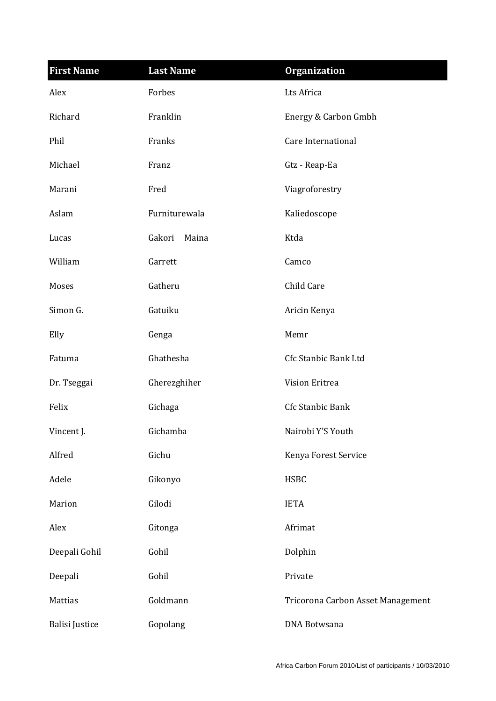| <b>First Name</b>     | <b>Last Name</b> | <b>Organization</b>               |
|-----------------------|------------------|-----------------------------------|
| Alex                  | Forbes           | Lts Africa                        |
| Richard               | Franklin         | Energy & Carbon Gmbh              |
| Phil                  | Franks           | Care International                |
| Michael               | Franz            | Gtz - Reap-Ea                     |
| Marani                | Fred             | Viagroforestry                    |
| Aslam                 | Furniturewala    | Kaliedoscope                      |
| Lucas                 | Gakori<br>Maina  | Ktda                              |
| William               | Garrett          | Camco                             |
| Moses                 | Gatheru          | Child Care                        |
| Simon G.              | Gatuiku          | Aricin Kenya                      |
| Elly                  | Genga            | Memr                              |
| Fatuma                | Ghathesha        | Cfc Stanbic Bank Ltd              |
| Dr. Tseggai           | Gherezghiher     | Vision Eritrea                    |
| Felix                 | Gichaga          | Cfc Stanbic Bank                  |
| Vincent J.            | Gichamba         | Nairobi Y'S Youth                 |
| Alfred                | Gichu            | Kenya Forest Service              |
| Adele                 | Gikonyo          | <b>HSBC</b>                       |
| Marion                | Gilodi           | <b>IETA</b>                       |
| Alex                  | Gitonga          | Afrimat                           |
| Deepali Gohil         | Gohil            | Dolphin                           |
| Deepali               | Gohil            | Private                           |
| Mattias               | Goldmann         | Tricorona Carbon Asset Management |
| <b>Balisi Justice</b> | Gopolang         | DNA Botwsana                      |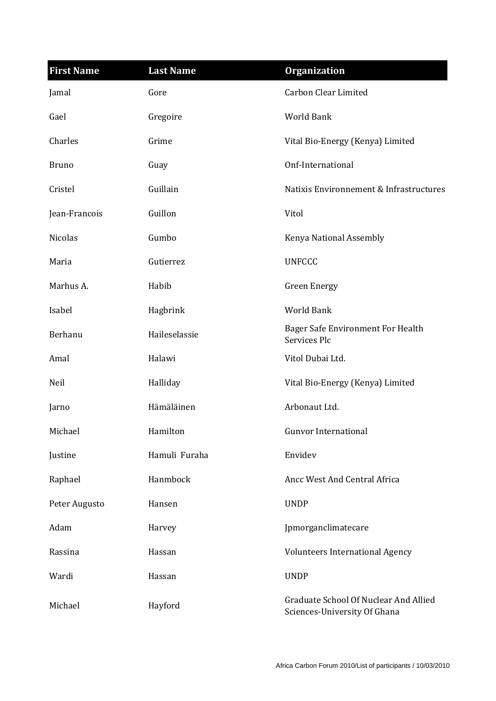| <b>First Name</b> | <b>Last Name</b> | <b>Organization</b>                                                   |
|-------------------|------------------|-----------------------------------------------------------------------|
| Jamal             | Gore             | <b>Carbon Clear Limited</b>                                           |
| Gael              | Gregoire         | <b>World Bank</b>                                                     |
| Charles           | Grime            | Vital Bio-Energy (Kenya) Limited                                      |
| <b>Bruno</b>      | Guay             | Onf-International                                                     |
| Cristel           | Guillain         | Natixis Environnement & Infrastructures                               |
| Jean-Francois     | Guillon          | Vitol                                                                 |
| Nicolas           | Gumbo            | Kenya National Assembly                                               |
| Maria             | Gutierrez        | <b>UNFCCC</b>                                                         |
| Marhus A.         | Habib            | <b>Green Energy</b>                                                   |
| Isabel            | Hagbrink         | World Bank                                                            |
| Berhanu           | Haileselassie    | Bager Safe Environment For Health<br>Services Plc                     |
| Amal              | Halawi           | Vitol Dubai Ltd.                                                      |
| Neil              | Halliday         | Vital Bio-Energy (Kenya) Limited                                      |
| Jarno             | Hämäläinen       | Arbonaut Ltd.                                                         |
| Michael           | Hamilton         | <b>Gunvor International</b>                                           |
| Justine           | Hamuli Furaha    | Envidev                                                               |
| Raphael           | Hanmbock         | Ancc West And Central Africa                                          |
| Peter Augusto     | Hansen           | <b>UNDP</b>                                                           |
| Adam              | Harvey           | Jpmorganclimatecare                                                   |
| Rassina           | Hassan           | <b>Volunteers International Agency</b>                                |
| Wardi             | Hassan           | <b>UNDP</b>                                                           |
| Michael           | Hayford          | Graduate School Of Nuclear And Allied<br>Sciences-University Of Ghana |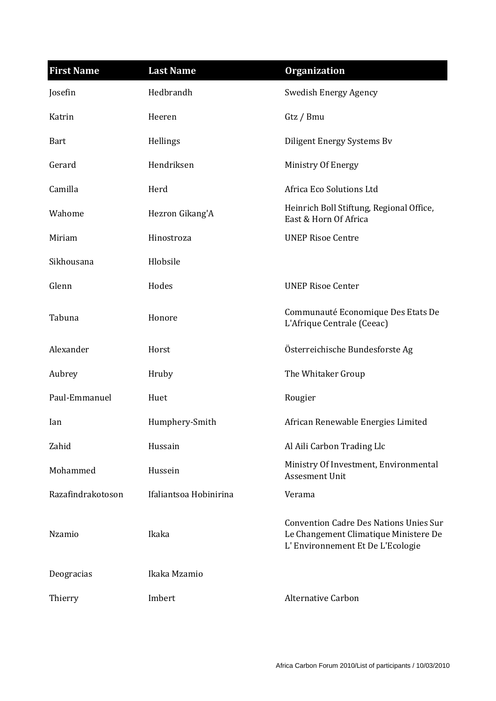| <b>First Name</b> | <b>Last Name</b>       | <b>Organization</b>                                                                                                        |
|-------------------|------------------------|----------------------------------------------------------------------------------------------------------------------------|
| Josefin           | Hedbrandh              | <b>Swedish Energy Agency</b>                                                                                               |
| Katrin            | Heeren                 | Gtz / Bmu                                                                                                                  |
| <b>Bart</b>       | Hellings               | Diligent Energy Systems Bv                                                                                                 |
| Gerard            | Hendriksen             | Ministry Of Energy                                                                                                         |
| Camilla           | Herd                   | Africa Eco Solutions Ltd                                                                                                   |
| Wahome            | Hezron Gikang'A        | Heinrich Boll Stiftung, Regional Office,<br>East & Horn Of Africa                                                          |
| Miriam            | Hinostroza             | <b>UNEP Risoe Centre</b>                                                                                                   |
| Sikhousana        | Hlobsile               |                                                                                                                            |
| Glenn             | Hodes                  | <b>UNEP Risoe Center</b>                                                                                                   |
| Tabuna            | Honore                 | Communauté Economique Des Etats De<br>L'Afrique Centrale (Ceeac)                                                           |
| Alexander         | Horst                  | Österreichische Bundesforste Ag                                                                                            |
| Aubrey            | Hruby                  | The Whitaker Group                                                                                                         |
| Paul-Emmanuel     | Huet                   | Rougier                                                                                                                    |
| Ian               | Humphery-Smith         | African Renewable Energies Limited                                                                                         |
| Zahid             | Hussain                | Al Aili Carbon Trading Llc                                                                                                 |
| Mohammed          | Hussein                | Ministry Of Investment, Environmental<br>Assesment Unit                                                                    |
| Razafindrakotoson | Ifaliantsoa Hobinirina | Verama                                                                                                                     |
| Nzamio            | Ikaka                  | <b>Convention Cadre Des Nations Unies Sur</b><br>Le Changement Climatique Ministere De<br>L'Environnement Et De L'Ecologie |
| Deogracias        | Ikaka Mzamio           |                                                                                                                            |
| Thierry           | Imbert                 | <b>Alternative Carbon</b>                                                                                                  |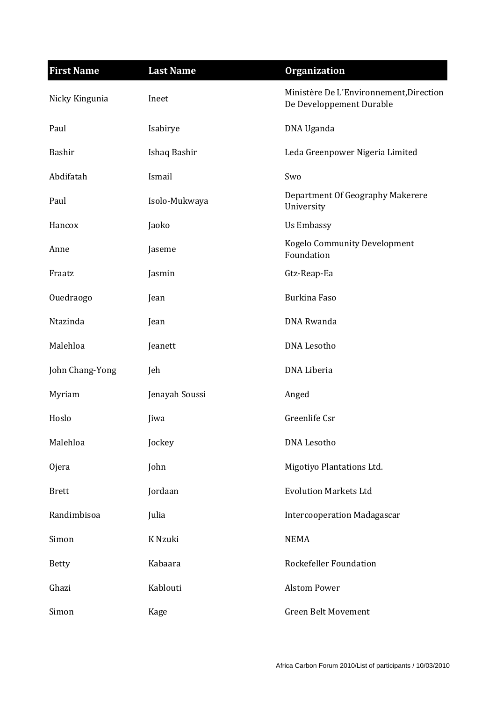| <b>First Name</b> | <b>Last Name</b> | <b>Organization</b>                                                 |
|-------------------|------------------|---------------------------------------------------------------------|
| Nicky Kingunia    | Ineet            | Ministère De L'Environnement, Direction<br>De Developpement Durable |
| Paul              | Isabirye         | DNA Uganda                                                          |
| Bashir            | Ishaq Bashir     | Leda Greenpower Nigeria Limited                                     |
| Abdifatah         | Ismail           | Swo                                                                 |
| Paul              | Isolo-Mukwaya    | Department Of Geography Makerere<br>University                      |
| Hancox            | Jaoko            | <b>Us Embassy</b>                                                   |
| Anne              | Jaseme           | Kogelo Community Development<br>Foundation                          |
| Fraatz            | Jasmin           | Gtz-Reap-Ea                                                         |
| Ouedraogo         | Jean             | <b>Burkina Faso</b>                                                 |
| Ntazinda          | Jean             | DNA Rwanda                                                          |
| Malehloa          | Jeanett          | <b>DNA Lesotho</b>                                                  |
| John Chang-Yong   | Jeh              | DNA Liberia                                                         |
| Myriam            | Jenayah Soussi   | Anged                                                               |
| Hoslo             | Jiwa             | Greenlife Csr                                                       |
| Malehloa          | Jockey           | <b>DNA Lesotho</b>                                                  |
| <b>Ojera</b>      | John             | Migotiyo Plantations Ltd.                                           |
| <b>Brett</b>      | Jordaan          | <b>Evolution Markets Ltd</b>                                        |
| Randimbisoa       | Julia            | <b>Intercooperation Madagascar</b>                                  |
| Simon             | K Nzuki          | <b>NEMA</b>                                                         |
| <b>Betty</b>      | Kabaara          | Rockefeller Foundation                                              |
| Ghazi             | Kablouti         | <b>Alstom Power</b>                                                 |
| Simon             | Kage             | <b>Green Belt Movement</b>                                          |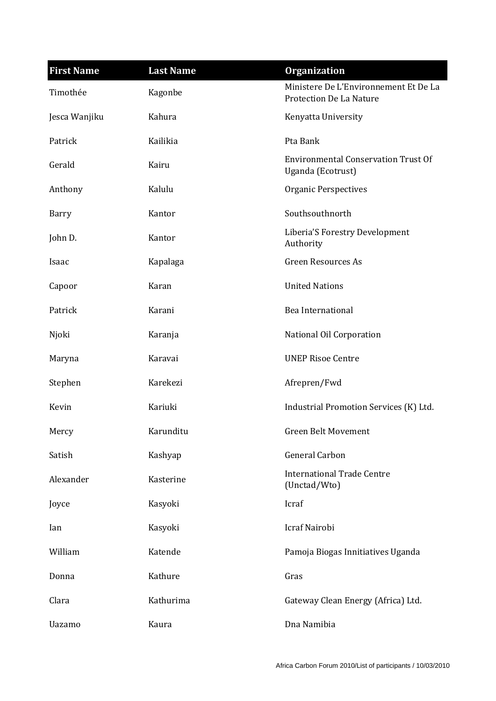| <b>First Name</b> | <b>Last Name</b> | <b>Organization</b>                                              |
|-------------------|------------------|------------------------------------------------------------------|
| Timothée          | Kagonbe          | Ministere De L'Environnement Et De La<br>Protection De La Nature |
| Jesca Wanjiku     | Kahura           | Kenyatta University                                              |
| Patrick           | Kailikia         | Pta Bank                                                         |
| Gerald            | Kairu            | <b>Environmental Conservation Trust Of</b><br>Uganda (Ecotrust)  |
| Anthony           | Kalulu           | <b>Organic Perspectives</b>                                      |
| Barry             | Kantor           | Southsouthnorth                                                  |
| John D.           | Kantor           | Liberia'S Forestry Development<br>Authority                      |
| Isaac             | Kapalaga         | <b>Green Resources As</b>                                        |
| Capoor            | Karan            | <b>United Nations</b>                                            |
| Patrick           | Karani           | Bea International                                                |
| Njoki             | Karanja          | National Oil Corporation                                         |
| Maryna            | Karavai          | <b>UNEP Risoe Centre</b>                                         |
| Stephen           | Karekezi         | Afrepren/Fwd                                                     |
| Kevin             | Kariuki          | Industrial Promotion Services (K) Ltd.                           |
| Mercy             | Karunditu        | <b>Green Belt Movement</b>                                       |
| Satish            | Kashyap          | General Carbon                                                   |
| Alexander         | Kasterine        | <b>International Trade Centre</b><br>(Unctad/Wto)                |
| Joyce             | Kasyoki          | Icraf                                                            |
| Ian               | Kasyoki          | Icraf Nairobi                                                    |
| William           | Katende          | Pamoja Biogas Innitiatives Uganda                                |
| Donna             | Kathure          | Gras                                                             |
| Clara             | Kathurima        | Gateway Clean Energy (Africa) Ltd.                               |
| Uazamo            | Kaura            | Dna Namibia                                                      |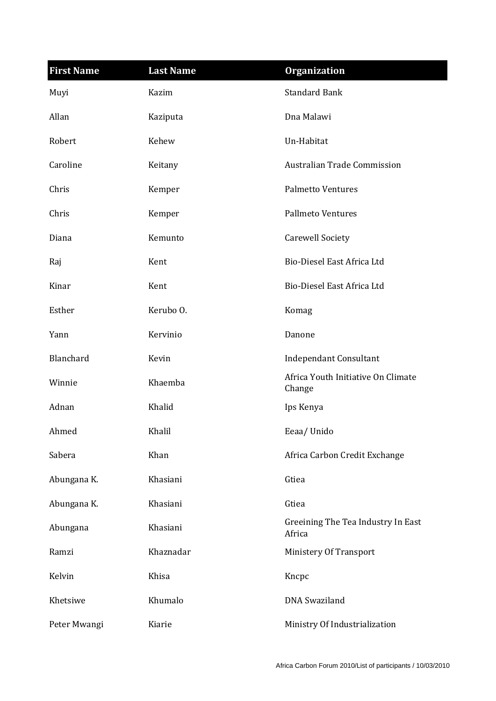| <b>First Name</b> | <b>Last Name</b> | <b>Organization</b>                          |
|-------------------|------------------|----------------------------------------------|
| Muyi              | Kazim            | <b>Standard Bank</b>                         |
| Allan             | Kaziputa         | Dna Malawi                                   |
| Robert            | Kehew            | Un-Habitat                                   |
| Caroline          | Keitany          | <b>Australian Trade Commission</b>           |
| Chris             | Kemper           | <b>Palmetto Ventures</b>                     |
| Chris             | Kemper           | <b>Pallmeto Ventures</b>                     |
| Diana             | Kemunto          | <b>Carewell Society</b>                      |
| Raj               | Kent             | Bio-Diesel East Africa Ltd                   |
| Kinar             | Kent             | Bio-Diesel East Africa Ltd                   |
| Esther            | Kerubo O.        | Komag                                        |
| Yann              | Kervinio         | Danone                                       |
| Blanchard         | Kevin            | <b>Independant Consultant</b>                |
| Winnie            | Khaemba          | Africa Youth Initiative On Climate<br>Change |
| Adnan             | Khalid           | Ips Kenya                                    |
| Ahmed             | Khalil           | Eeaa/Unido                                   |
| Sabera            | Khan             | Africa Carbon Credit Exchange                |
| Abungana K.       | Khasiani         | Gtiea                                        |
| Abungana K.       | Khasiani         | Gtiea                                        |
| Abungana          | Khasiani         | Greeining The Tea Industry In East<br>Africa |
| Ramzi             | Khaznadar        | Ministery Of Transport                       |
| Kelvin            | Khisa            | Kncpc                                        |
| Khetsiwe          | Khumalo          | <b>DNA</b> Swaziland                         |
| Peter Mwangi      | Kiarie           | Ministry Of Industrialization                |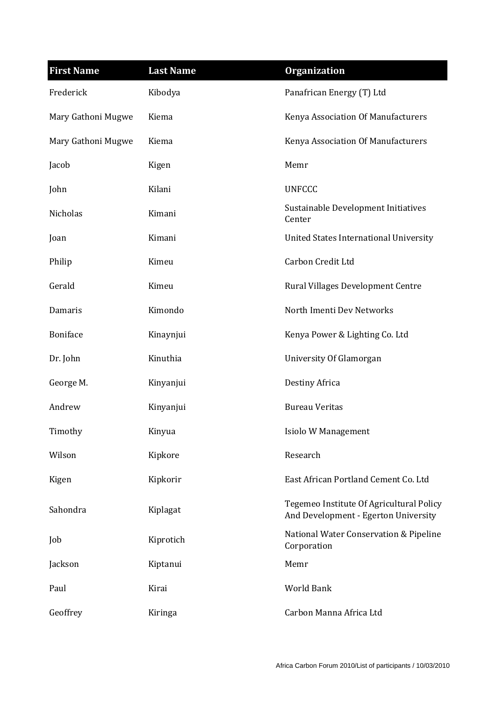| <b>First Name</b>  | <b>Last Name</b> | <b>Organization</b>                                                              |
|--------------------|------------------|----------------------------------------------------------------------------------|
| Frederick          | Kibodya          | Panafrican Energy (T) Ltd                                                        |
| Mary Gathoni Mugwe | Kiema            | Kenya Association Of Manufacturers                                               |
| Mary Gathoni Mugwe | Kiema            | Kenya Association Of Manufacturers                                               |
| Jacob              | Kigen            | Memr                                                                             |
| John               | Kilani           | <b>UNFCCC</b>                                                                    |
| Nicholas           | Kimani           | Sustainable Development Initiatives<br>Center                                    |
| Joan               | Kimani           | United States International University                                           |
| Philip             | Kimeu            | Carbon Credit Ltd                                                                |
| Gerald             | Kimeu            | Rural Villages Development Centre                                                |
| Damaris            | Kimondo          | North Imenti Dev Networks                                                        |
| <b>Boniface</b>    | Kinaynjui        | Kenya Power & Lighting Co. Ltd                                                   |
| Dr. John           | Kinuthia         | University Of Glamorgan                                                          |
| George M.          | Kinyanjui        | Destiny Africa                                                                   |
| Andrew             | Kinyanjui        | <b>Bureau Veritas</b>                                                            |
| Timothy            | Kinyua           | Isiolo W Management                                                              |
| Wilson             | Kipkore          | Research                                                                         |
| Kigen              | Kipkorir         | East African Portland Cement Co. Ltd                                             |
| Sahondra           | Kiplagat         | Tegemeo Institute Of Agricultural Policy<br>And Development - Egerton University |
| Job                | Kiprotich        | National Water Conservation & Pipeline<br>Corporation                            |
| Jackson            | Kiptanui         | Memr                                                                             |
| Paul               | Kirai            | World Bank                                                                       |
| Geoffrey           | Kiringa          | Carbon Manna Africa Ltd                                                          |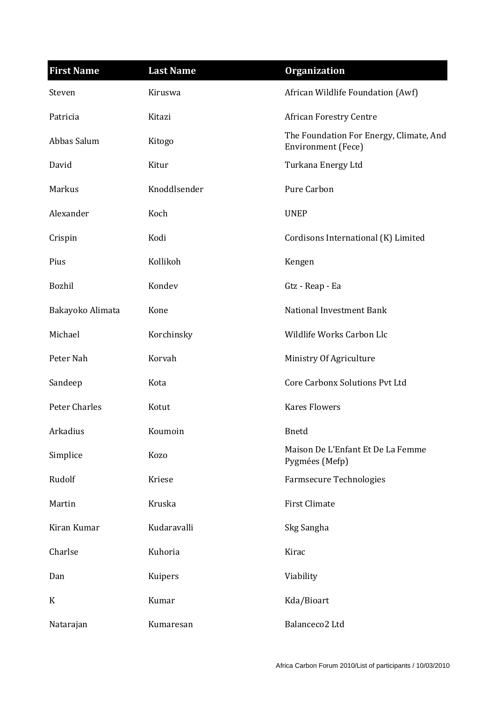| <b>First Name</b>    | <b>Last Name</b> | <b>Organization</b>                                                  |
|----------------------|------------------|----------------------------------------------------------------------|
| Steven               | Kiruswa          | African Wildlife Foundation (Awf)                                    |
| Patricia             | Kitazi           | <b>African Forestry Centre</b>                                       |
| Abbas Salum          | Kitogo           | The Foundation For Energy, Climate, And<br><b>Environment</b> (Fece) |
| David                | Kitur            | Turkana Energy Ltd                                                   |
| Markus               | Knoddlsender     | Pure Carbon                                                          |
| Alexander            | Koch             | <b>UNEP</b>                                                          |
| Crispin              | Kodi             | Cordisons International (K) Limited                                  |
| Pius                 | Kollikoh         | Kengen                                                               |
| Bozhil               | Kondev           | Gtz - Reap - Ea                                                      |
| Bakayoko Alimata     | Kone             | National Investment Bank                                             |
| Michael              | Korchinsky       | Wildlife Works Carbon Llc                                            |
| Peter Nah            | Korvah           | Ministry Of Agriculture                                              |
| Sandeep              | Kota             | <b>Core Carbonx Solutions Pvt Ltd</b>                                |
| <b>Peter Charles</b> | Kotut            | <b>Kares Flowers</b>                                                 |
| Arkadius             | Koumoin          | <b>B</b> netd                                                        |
| Simplice             | Kozo             | Maison De L'Enfant Et De La Femme<br>Pygmées (Mefp)                  |
| Rudolf               | Kriese           | <b>Farmsecure Technologies</b>                                       |
| Martin               | Kruska           | First Climate                                                        |
| Kiran Kumar          | Kudaravalli      | Skg Sangha                                                           |
| Charlse              | Kuhoria          | Kirac                                                                |
| Dan                  | Kuipers          | Viability                                                            |
| $\mathbf K$          | Kumar            | Kda/Bioart                                                           |
| Natarajan            | Kumaresan        | Balanceco2 Ltd                                                       |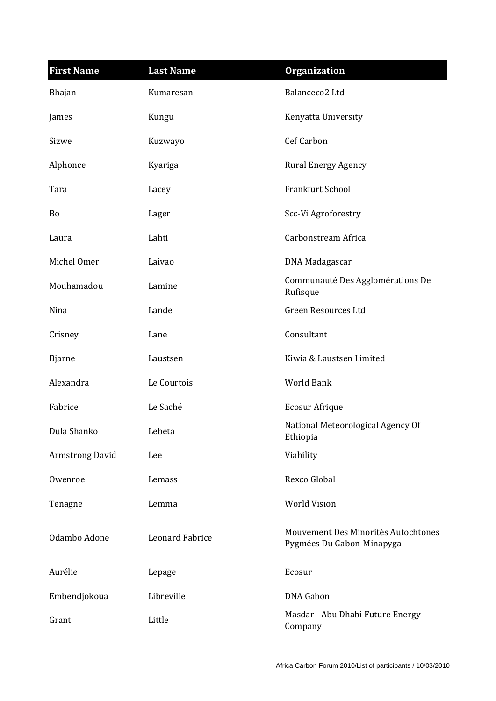| <b>First Name</b>      | <b>Last Name</b>       | <b>Organization</b>                                               |
|------------------------|------------------------|-------------------------------------------------------------------|
| Bhajan                 | Kumaresan              | Balanceco <sub>2</sub> Ltd                                        |
| James                  | Kungu                  | Kenyatta University                                               |
| Sizwe                  | Kuzwayo                | <b>Cef Carbon</b>                                                 |
| Alphonce               | Kyariga                | <b>Rural Energy Agency</b>                                        |
| Tara                   | Lacey                  | Frankfurt School                                                  |
| <b>Bo</b>              | Lager                  | Scc-Vi Agroforestry                                               |
| Laura                  | Lahti                  | Carbonstream Africa                                               |
| Michel Omer            | Laivao                 | DNA Madagascar                                                    |
| Mouhamadou             | Lamine                 | Communauté Des Agglomérations De<br>Rufisque                      |
| Nina                   | Lande                  | Green Resources Ltd                                               |
| Crisney                | Lane                   | Consultant                                                        |
| <b>Bjarne</b>          | Laustsen               | Kiwia & Laustsen Limited                                          |
| Alexandra              | Le Courtois            | <b>World Bank</b>                                                 |
| Fabrice                | Le Saché               | Ecosur Afrique                                                    |
| Dula Shanko            | Lebeta                 | National Meteorological Agency Of<br>Ethiopia                     |
| <b>Armstrong David</b> | Lee                    | Viability                                                         |
| Owenroe                | Lemass                 | Rexco Global                                                      |
| Tenagne                | Lemma                  | <b>World Vision</b>                                               |
| Odambo Adone           | <b>Leonard Fabrice</b> | Mouvement Des Minorités Autochtones<br>Pygmées Du Gabon-Minapyga- |
| Aurélie                | Lepage                 | Ecosur                                                            |
| Embendjokoua           | Libreville             | <b>DNA</b> Gabon                                                  |
| Grant                  | Little                 | Masdar - Abu Dhabi Future Energy<br>Company                       |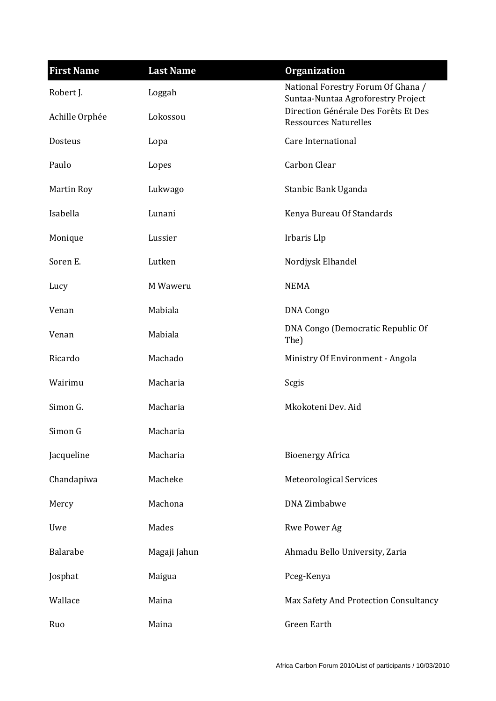| <b>First Name</b> | <b>Last Name</b> | <b>Organization</b>                                                      |
|-------------------|------------------|--------------------------------------------------------------------------|
| Robert J.         | Loggah           | National Forestry Forum Of Ghana /<br>Suntaa-Nuntaa Agroforestry Project |
| Achille Orphée    | Lokossou         | Direction Générale Des Forêts Et Des<br><b>Ressources Naturelles</b>     |
| Dosteus           | Lopa             | <b>Care International</b>                                                |
| Paulo             | Lopes            | Carbon Clear                                                             |
| Martin Roy        | Lukwago          | Stanbic Bank Uganda                                                      |
| Isabella          | Lunani           | Kenya Bureau Of Standards                                                |
| Monique           | Lussier          | Irbaris Llp                                                              |
| Soren E.          | Lutken           | Nordjysk Elhandel                                                        |
| Lucy              | M Waweru         | <b>NEMA</b>                                                              |
| Venan             | Mabiala          | <b>DNA Congo</b>                                                         |
| Venan             | Mabiala          | DNA Congo (Democratic Republic Of<br>The)                                |
| Ricardo           | Machado          | Ministry Of Environment - Angola                                         |
| Wairimu           | Macharia         | Scgis                                                                    |
| Simon G.          | Macharia         | Mkokoteni Dev. Aid                                                       |
| Simon G           | Macharia         |                                                                          |
| Jacqueline        | Macharia         | <b>Bioenergy Africa</b>                                                  |
| Chandapiwa        | Macheke          | <b>Meteorological Services</b>                                           |
| Mercy             | Machona          | <b>DNA Zimbabwe</b>                                                      |
| Uwe               | Mades            | Rwe Power Ag                                                             |
| Balarabe          | Magaji Jahun     | Ahmadu Bello University, Zaria                                           |
| Josphat           | Maigua           | Pceg-Kenya                                                               |
| Wallace           | Maina            | Max Safety And Protection Consultancy                                    |
| Ruo               | Maina            | Green Earth                                                              |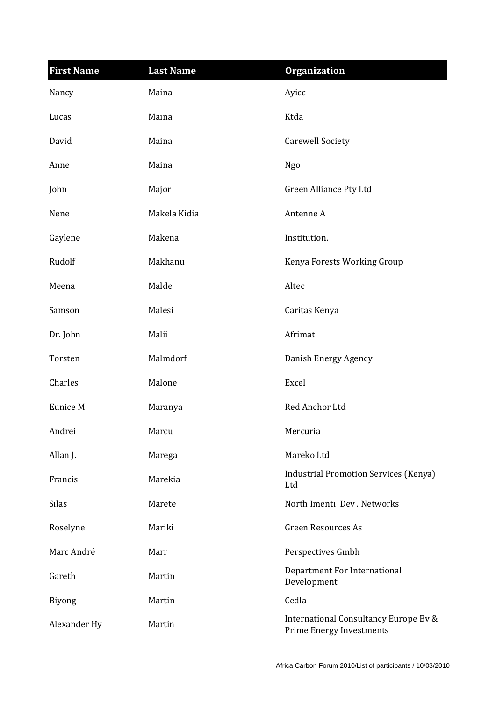| <b>First Name</b> | <b>Last Name</b> | <b>Organization</b>                                                      |
|-------------------|------------------|--------------------------------------------------------------------------|
| Nancy             | Maina            | Ayicc                                                                    |
| Lucas             | Maina            | Ktda                                                                     |
| David             | Maina            | <b>Carewell Society</b>                                                  |
| Anne              | Maina            | Ngo                                                                      |
| John              | Major            | Green Alliance Pty Ltd                                                   |
| Nene              | Makela Kidia     | Antenne A                                                                |
| Gaylene           | Makena           | Institution.                                                             |
| Rudolf            | Makhanu          | Kenya Forests Working Group                                              |
| Meena             | Malde            | Altec                                                                    |
| Samson            | Malesi           | Caritas Kenya                                                            |
| Dr. John          | Malii            | Afrimat                                                                  |
| Torsten           | Malmdorf         | Danish Energy Agency                                                     |
| Charles           | Malone           | Excel                                                                    |
| Eunice M.         | Maranya          | Red Anchor Ltd                                                           |
| Andrei            | Marcu            | Mercuria                                                                 |
| Allan J.          | Marega           | Mareko Ltd                                                               |
| Francis           | Marekia          | <b>Industrial Promotion Services (Kenya)</b><br>Ltd                      |
| <b>Silas</b>      | Marete           | North Imenti Dev. Networks                                               |
| Roselyne          | Mariki           | <b>Green Resources As</b>                                                |
| Marc André        | Marr             | Perspectives Gmbh                                                        |
| Gareth            | Martin           | Department For International<br>Development                              |
| <b>Biyong</b>     | Martin           | Cedla                                                                    |
| Alexander Hy      | Martin           | International Consultancy Europe Bv &<br><b>Prime Energy Investments</b> |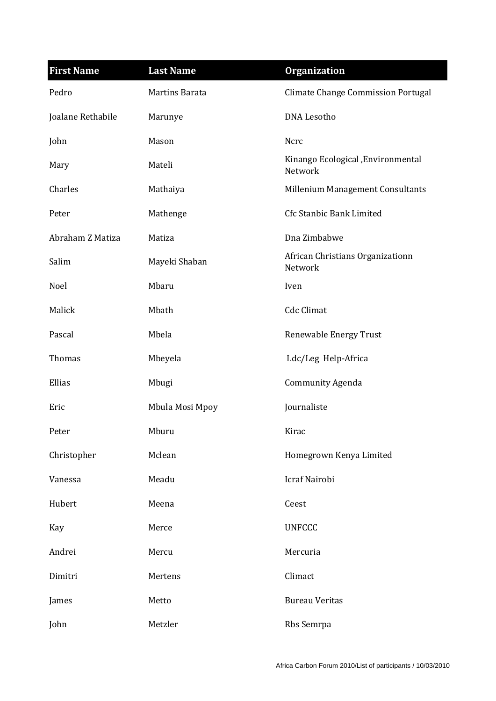| <b>First Name</b> | <b>Last Name</b> | <b>Organization</b>                           |
|-------------------|------------------|-----------------------------------------------|
| Pedro             | Martins Barata   | <b>Climate Change Commission Portugal</b>     |
| Joalane Rethabile | Marunye          | <b>DNA Lesotho</b>                            |
| John              | Mason            | Ncrc                                          |
| Mary              | Mateli           | Kinango Ecological , Environmental<br>Network |
| Charles           | Mathaiya         | Millenium Management Consultants              |
| Peter             | Mathenge         | Cfc Stanbic Bank Limited                      |
| Abraham Z Matiza  | Matiza           | Dna Zimbabwe                                  |
| Salim             | Mayeki Shaban    | African Christians Organizationn<br>Network   |
| Noel              | Mbaru            | Iven                                          |
| Malick            | Mbath            | <b>Cdc Climat</b>                             |
| Pascal            | Mbela            | Renewable Energy Trust                        |
| Thomas            | Mbeyela          | Ldc/Leg Help-Africa                           |
| Ellias            | Mbugi            | <b>Community Agenda</b>                       |
| Eric              | Mbula Mosi Mpoy  | Journaliste                                   |
| Peter             | Mburu            | Kirac                                         |
| Christopher       | Mclean           | Homegrown Kenya Limited                       |
| Vanessa           | Meadu            | Icraf Nairobi                                 |
| Hubert            | Meena            | Ceest                                         |
| Kay               | Merce            | <b>UNFCCC</b>                                 |
| Andrei            | Mercu            | Mercuria                                      |
| Dimitri           | Mertens          | Climact                                       |
| James             | Metto            | <b>Bureau Veritas</b>                         |
| John              | Metzler          | Rbs Semrpa                                    |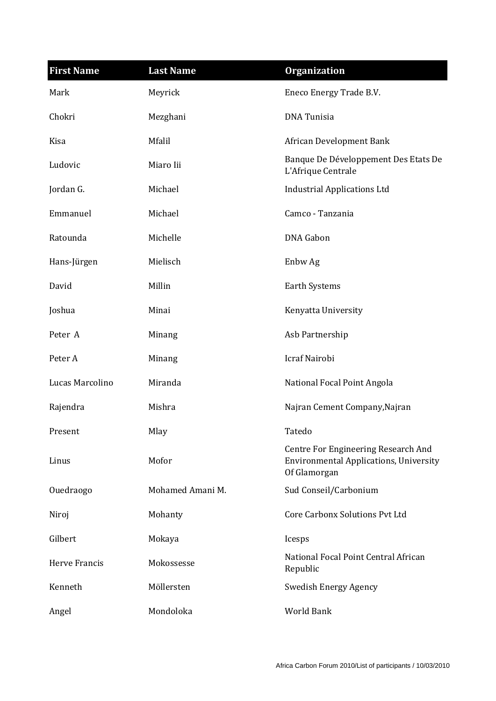| <b>First Name</b>    | <b>Last Name</b> | <b>Organization</b>                                                                                  |
|----------------------|------------------|------------------------------------------------------------------------------------------------------|
| Mark                 | Meyrick          | Eneco Energy Trade B.V.                                                                              |
| Chokri               | Mezghani         | <b>DNA</b> Tunisia                                                                                   |
| Kisa                 | Mfalil           | African Development Bank                                                                             |
| Ludovic              | Miaro Iii        | Banque De Développement Des Etats De<br>L'Afrique Centrale                                           |
| Jordan G.            | Michael          | <b>Industrial Applications Ltd</b>                                                                   |
| Emmanuel             | Michael          | Camco - Tanzania                                                                                     |
| Ratounda             | Michelle         | <b>DNA</b> Gabon                                                                                     |
| Hans-Jürgen          | Mielisch         | Enbw Ag                                                                                              |
| David                | Millin           | <b>Earth Systems</b>                                                                                 |
| Joshua               | Minai            | Kenyatta University                                                                                  |
| Peter A              | Minang           | Asb Partnership                                                                                      |
| Peter A              | Minang           | Icraf Nairobi                                                                                        |
| Lucas Marcolino      | Miranda          | National Focal Point Angola                                                                          |
| Rajendra             | Mishra           | Najran Cement Company, Najran                                                                        |
| Present              | Mlay             | Tatedo                                                                                               |
| Linus                | Mofor            | Centre For Engineering Research And<br><b>Environmental Applications, University</b><br>Of Glamorgan |
| Ouedraogo            | Mohamed Amani M. | Sud Conseil/Carbonium                                                                                |
| Niroj                | Mohanty          | <b>Core Carbonx Solutions Pvt Ltd</b>                                                                |
| Gilbert              | Mokaya           | Icesps                                                                                               |
| <b>Herve Francis</b> | Mokossesse       | National Focal Point Central African<br>Republic                                                     |
| Kenneth              | Möllersten       | <b>Swedish Energy Agency</b>                                                                         |
| Angel                | Mondoloka        | World Bank                                                                                           |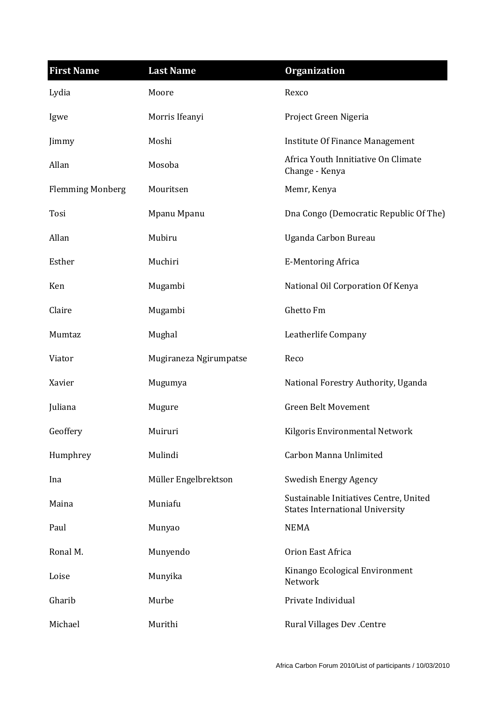| <b>First Name</b>       | <b>Last Name</b>       | <b>Organization</b>                                                              |
|-------------------------|------------------------|----------------------------------------------------------------------------------|
| Lydia                   | Moore                  | Rexco                                                                            |
| Igwe                    | Morris Ifeanyi         | Project Green Nigeria                                                            |
| Jimmy                   | Moshi                  | Institute Of Finance Management                                                  |
| Allan                   | Mosoba                 | Africa Youth Innitiative On Climate<br>Change - Kenya                            |
| <b>Flemming Monberg</b> | Mouritsen              | Memr, Kenya                                                                      |
| Tosi                    | Mpanu Mpanu            | Dna Congo (Democratic Republic Of The)                                           |
| Allan                   | Mubiru                 | Uganda Carbon Bureau                                                             |
| Esther                  | Muchiri                | <b>E-Mentoring Africa</b>                                                        |
| Ken                     | Mugambi                | National Oil Corporation Of Kenya                                                |
| Claire                  | Mugambi                | Ghetto Fm                                                                        |
| Mumtaz                  | Mughal                 | Leatherlife Company                                                              |
| Viator                  | Mugiraneza Ngirumpatse | Reco                                                                             |
| Xavier                  | Mugumya                | National Forestry Authority, Uganda                                              |
| Juliana                 | Mugure                 | <b>Green Belt Movement</b>                                                       |
| Geoffery                | Muiruri                | Kilgoris Environmental Network                                                   |
| Humphrey                | Mulindi                | Carbon Manna Unlimited                                                           |
| Ina                     | Müller Engelbrektson   | Swedish Energy Agency                                                            |
| Maina                   | Muniafu                | Sustainable Initiatives Centre, United<br><b>States International University</b> |
| Paul                    | Munyao                 | <b>NEMA</b>                                                                      |
| Ronal M.                | Munyendo               | Orion East Africa                                                                |
| Loise                   | Munyika                | Kinango Ecological Environment<br>Network                                        |
| Gharib                  | Murbe                  | Private Individual                                                               |
| Michael                 | Murithi                | <b>Rural Villages Dev .Centre</b>                                                |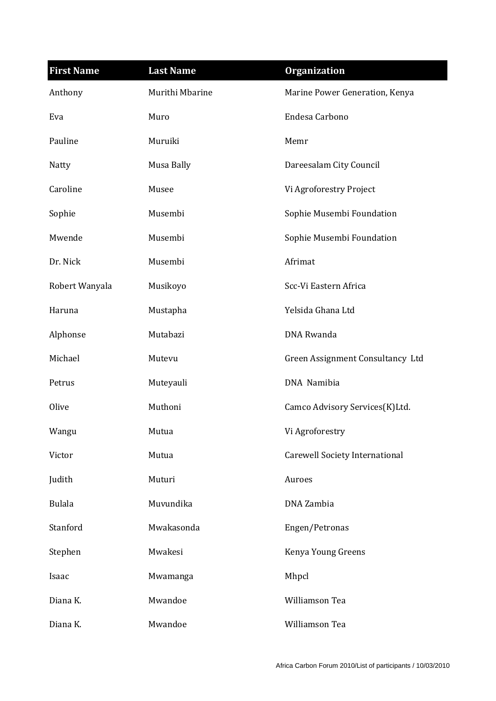| <b>First Name</b> | <b>Last Name</b> | <b>Organization</b>                   |
|-------------------|------------------|---------------------------------------|
| Anthony           | Murithi Mbarine  | Marine Power Generation, Kenya        |
| Eva               | Muro             | Endesa Carbono                        |
| Pauline           | Muruiki          | Memr                                  |
| Natty             | Musa Bally       | Dareesalam City Council               |
| Caroline          | Musee            | Vi Agroforestry Project               |
| Sophie            | Musembi          | Sophie Musembi Foundation             |
| Mwende            | Musembi          | Sophie Musembi Foundation             |
| Dr. Nick          | Musembi          | Afrimat                               |
| Robert Wanyala    | Musikoyo         | Scc-Vi Eastern Africa                 |
| Haruna            | Mustapha         | Yelsida Ghana Ltd                     |
| Alphonse          | Mutabazi         | DNA Rwanda                            |
| Michael           | Mutevu           | Green Assignment Consultancy Ltd      |
| Petrus            | Muteyauli        | DNA Namibia                           |
| Olive             | Muthoni          | Camco Advisory Services(K)Ltd.        |
| Wangu             | Mutua            | Vi Agroforestry                       |
| Victor            | Mutua            | <b>Carewell Society International</b> |
| Judith            | Muturi           | Auroes                                |
| <b>Bulala</b>     | Muvundika        | DNA Zambia                            |
| Stanford          | Mwakasonda       | Engen/Petronas                        |
| Stephen           | Mwakesi          | Kenya Young Greens                    |
| Isaac             | Mwamanga         | Mhpcl                                 |
| Diana K.          | Mwandoe          | Williamson Tea                        |
| Diana K.          | Mwandoe          | Williamson Tea                        |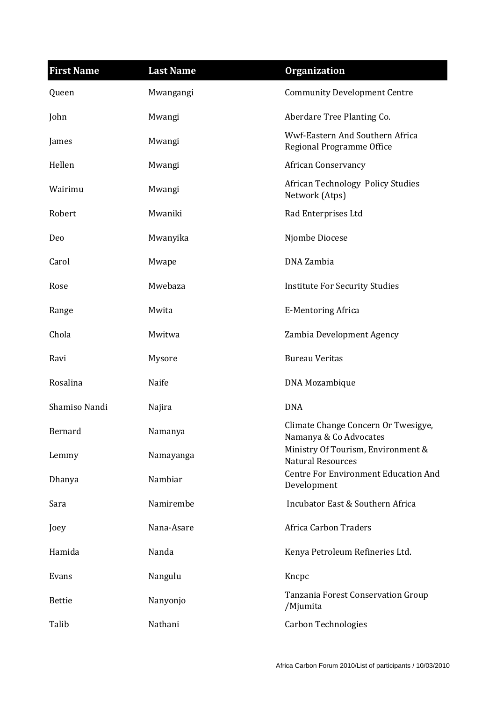| <b>First Name</b> | <b>Last Name</b> | <b>Organization</b>                                            |
|-------------------|------------------|----------------------------------------------------------------|
| Queen             | Mwangangi        | <b>Community Development Centre</b>                            |
| John              | Mwangi           | Aberdare Tree Planting Co.                                     |
| James             | Mwangi           | Wwf-Eastern And Southern Africa<br>Regional Programme Office   |
| Hellen            | Mwangi           | <b>African Conservancy</b>                                     |
| Wairimu           | Mwangi           | <b>African Technology Policy Studies</b><br>Network (Atps)     |
| Robert            | Mwaniki          | Rad Enterprises Ltd                                            |
| Deo               | Mwanyika         | Njombe Diocese                                                 |
| Carol             | Mwape            | DNA Zambia                                                     |
| Rose              | Mwebaza          | <b>Institute For Security Studies</b>                          |
| Range             | Mwita            | <b>E-Mentoring Africa</b>                                      |
| Chola             | Mwitwa           | Zambia Development Agency                                      |
| Ravi              | Mysore           | <b>Bureau Veritas</b>                                          |
| Rosalina          | Naife            | DNA Mozambique                                                 |
| Shamiso Nandi     | Najira           | <b>DNA</b>                                                     |
| Bernard           | Namanya          | Climate Change Concern Or Twesigye,<br>Namanya & Co Advocates  |
| Lemmy             | Namayanga        | Ministry Of Tourism, Environment &<br><b>Natural Resources</b> |
| Dhanya            | Nambiar          | <b>Centre For Environment Education And</b><br>Development     |
| Sara              | Namirembe        | Incubator East & Southern Africa                               |
| Joey              | Nana-Asare       | <b>Africa Carbon Traders</b>                                   |
| Hamida            | Nanda            | Kenya Petroleum Refineries Ltd.                                |
| Evans             | Nangulu          | Kncpc                                                          |
| <b>Bettie</b>     | Nanyonjo         | Tanzania Forest Conservation Group<br>/Mjumita                 |
| Talib             | Nathani          | <b>Carbon Technologies</b>                                     |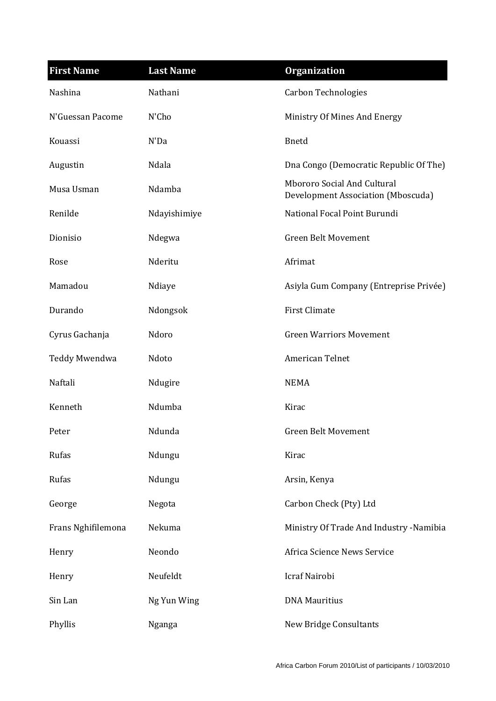| <b>First Name</b>  | <b>Last Name</b> | <b>Organization</b>                                               |
|--------------------|------------------|-------------------------------------------------------------------|
| Nashina            | Nathani          | <b>Carbon Technologies</b>                                        |
| N'Guessan Pacome   | N'Cho            | Ministry Of Mines And Energy                                      |
| Kouassi            | N'Da             | <b>Bnetd</b>                                                      |
| Augustin           | Ndala            | Dna Congo (Democratic Republic Of The)                            |
| Musa Usman         | Ndamba           | Mbororo Social And Cultural<br>Development Association (Mboscuda) |
| Renilde            | Ndayishimiye     | National Focal Point Burundi                                      |
| Dionisio           | Ndegwa           | <b>Green Belt Movement</b>                                        |
| Rose               | Nderitu          | Afrimat                                                           |
| Mamadou            | Ndiaye           | Asiyla Gum Company (Entreprise Privée)                            |
| Durando            | Ndongsok         | <b>First Climate</b>                                              |
| Cyrus Gachanja     | Ndoro            | <b>Green Warriors Movement</b>                                    |
| Teddy Mwendwa      | Ndoto            | American Telnet                                                   |
| Naftali            | Ndugire          | <b>NEMA</b>                                                       |
| Kenneth            | Ndumba           | Kirac                                                             |
| Peter              | Ndunda           | Green Belt Movement                                               |
| Rufas              | Ndungu           | Kirac                                                             |
| Rufas              | Ndungu           | Arsin, Kenya                                                      |
| George             | Negota           | Carbon Check (Pty) Ltd                                            |
| Frans Nghifilemona | Nekuma           | Ministry Of Trade And Industry -Namibia                           |
| Henry              | Neondo           | Africa Science News Service                                       |
| Henry              | Neufeldt         | Icraf Nairobi                                                     |
| Sin Lan            | Ng Yun Wing      | <b>DNA Mauritius</b>                                              |
| Phyllis            | Nganga           | <b>New Bridge Consultants</b>                                     |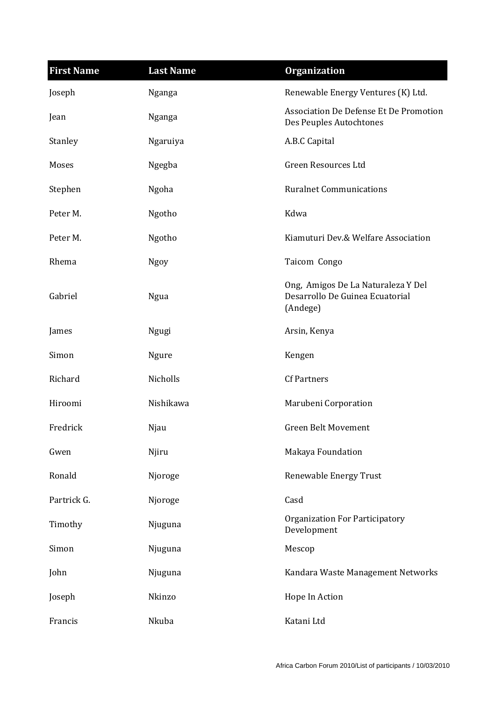| <b>First Name</b> | <b>Last Name</b> | <b>Organization</b>                                                               |
|-------------------|------------------|-----------------------------------------------------------------------------------|
| Joseph            | Nganga           | Renewable Energy Ventures (K) Ltd.                                                |
| Jean              | Nganga           | Association De Defense Et De Promotion<br>Des Peuples Autochtones                 |
| Stanley           | Ngaruiya         | A.B.C Capital                                                                     |
| Moses             | Ngegba           | Green Resources Ltd                                                               |
| Stephen           | Ngoha            | <b>Ruralnet Communications</b>                                                    |
| Peter M.          | Ngotho           | Kdwa                                                                              |
| Peter M.          | Ngotho           | Kiamuturi Dev.& Welfare Association                                               |
| Rhema             | <b>Ngoy</b>      | Taicom Congo                                                                      |
| Gabriel           | Ngua             | Ong, Amigos De La Naturaleza Y Del<br>Desarrollo De Guinea Ecuatorial<br>(Andege) |
| James             | Ngugi            | Arsin, Kenya                                                                      |
| Simon             | <b>Ngure</b>     | Kengen                                                                            |
| Richard           | Nicholls         | <b>Cf Partners</b>                                                                |
| Hiroomi           | Nishikawa        | Marubeni Corporation                                                              |
| Fredrick          | Njau             | <b>Green Belt Movement</b>                                                        |
| Gwen              | Njiru            | Makaya Foundation                                                                 |
| Ronald            | Njoroge          | Renewable Energy Trust                                                            |
| Partrick G.       | Njoroge          | Casd                                                                              |
| Timothy           | Njuguna          | <b>Organization For Participatory</b><br>Development                              |
| Simon             | Njuguna          | Mescop                                                                            |
| John              | Njuguna          | Kandara Waste Management Networks                                                 |
| Joseph            | Nkinzo           | Hope In Action                                                                    |
| Francis           | Nkuba            | Katani Ltd                                                                        |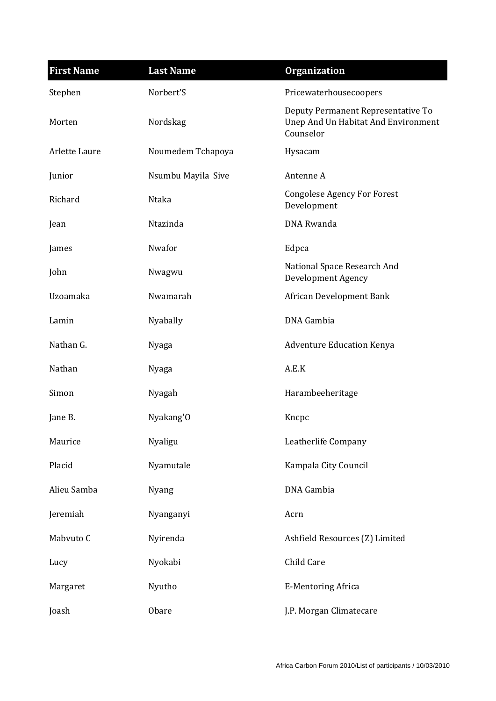| <b>First Name</b> | <b>Last Name</b>   | <b>Organization</b>                                                                    |
|-------------------|--------------------|----------------------------------------------------------------------------------------|
| Stephen           | Norbert'S          | Pricewaterhousecoopers                                                                 |
| Morten            | Nordskag           | Deputy Permanent Representative To<br>Unep And Un Habitat And Environment<br>Counselor |
| Arlette Laure     | Noumedem Tchapoya  | Hysacam                                                                                |
| Junior            | Nsumbu Mayila Sive | Antenne A                                                                              |
| Richard           | Ntaka              | <b>Congolese Agency For Forest</b><br>Development                                      |
| Jean              | Ntazinda           | <b>DNA</b> Rwanda                                                                      |
| James             | Nwafor             | Edpca                                                                                  |
| John              | Nwagwu             | National Space Research And<br><b>Development Agency</b>                               |
| Uzoamaka          | Nwamarah           | African Development Bank                                                               |
| Lamin             | Nyabally           | DNA Gambia                                                                             |
| Nathan G.         | Nyaga              | <b>Adventure Education Kenya</b>                                                       |
| Nathan            | Nyaga              | A.E.K                                                                                  |
| Simon             | Nyagah             | Harambeeheritage                                                                       |
| Jane B.           | Nyakang'O          | Kncpc                                                                                  |
| Maurice           | Nyaligu            | Leatherlife Company                                                                    |
| Placid            | Nyamutale          | Kampala City Council                                                                   |
| Alieu Samba       | <b>Nyang</b>       | DNA Gambia                                                                             |
| Jeremiah          | Nyanganyi          | Acrn                                                                                   |
| Mabvuto C         | Nyirenda           | Ashfield Resources (Z) Limited                                                         |
| Lucy              | Nyokabi            | Child Care                                                                             |
| Margaret          | Nyutho             | <b>E-Mentoring Africa</b>                                                              |
| Joash             | Obare              | J.P. Morgan Climatecare                                                                |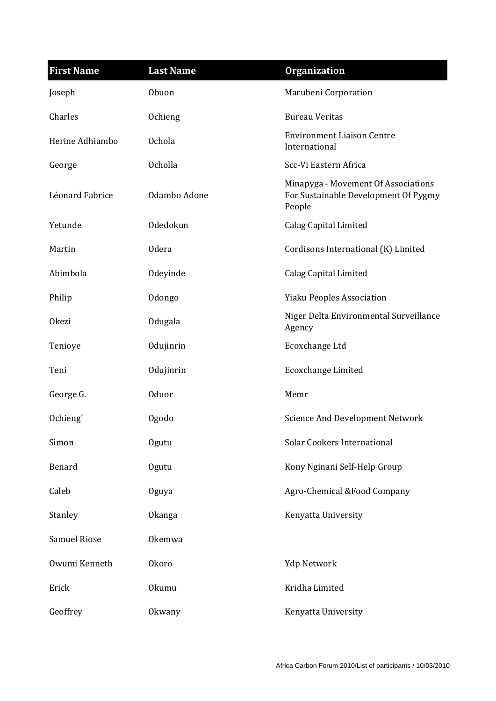| <b>First Name</b>   | <b>Last Name</b> | <b>Organization</b>                                                                   |
|---------------------|------------------|---------------------------------------------------------------------------------------|
| Joseph              | Obuon            | Marubeni Corporation                                                                  |
| Charles             | Ochieng          | <b>Bureau Veritas</b>                                                                 |
| Herine Adhiambo     | <b>Ochola</b>    | <b>Environment Liaison Centre</b><br>International                                    |
| George              | <b>Ocholla</b>   | Scc-Vi Eastern Africa                                                                 |
| Léonard Fabrice     | Odambo Adone     | Minapyga - Movement Of Associations<br>For Sustainable Development Of Pygmy<br>People |
| Yetunde             | Odedokun         | <b>Calag Capital Limited</b>                                                          |
| Martin              | <b>Odera</b>     | Cordisons International (K) Limited                                                   |
| Abimbola            | Odeyinde         | <b>Calag Capital Limited</b>                                                          |
| Philip              | Odongo           | <b>Yiaku Peoples Association</b>                                                      |
| <b>Okezi</b>        | Odugala          | Niger Delta Environmental Surveillance<br>Agency                                      |
| Tenioye             | Odujinrin        | Ecoxchange Ltd                                                                        |
| Teni                | Odujinrin        | <b>Ecoxchange Limited</b>                                                             |
| George G.           | <b>Oduor</b>     | Memr                                                                                  |
| Ochieng'            | Ogodo            | <b>Science And Development Network</b>                                                |
| Simon               | Ogutu            | <b>Solar Cookers International</b>                                                    |
| Benard              | Ogutu            | Kony Nginani Self-Help Group                                                          |
| Caleb               | Oguya            | Agro-Chemical &Food Company                                                           |
| Stanley             | <b>Okanga</b>    | Kenyatta University                                                                   |
| <b>Samuel Riose</b> | Okemwa           |                                                                                       |
| Owumi Kenneth       | <b>Okoro</b>     | <b>Ydp Network</b>                                                                    |
| Erick               | <b>Okumu</b>     | Kridha Limited                                                                        |
| Geoffrey            | Okwany           | Kenyatta University                                                                   |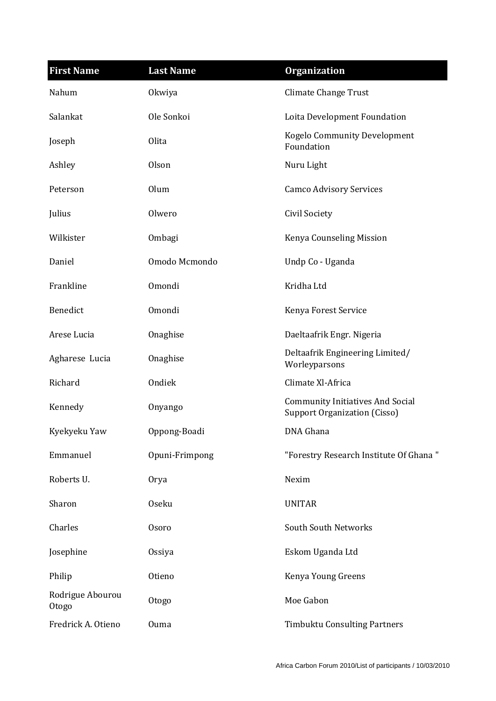| <b>First Name</b>         | <b>Last Name</b> | <b>Organization</b>                                                            |
|---------------------------|------------------|--------------------------------------------------------------------------------|
| Nahum                     | Okwiya           | <b>Climate Change Trust</b>                                                    |
| Salankat                  | Ole Sonkoi       | Loita Development Foundation                                                   |
| Joseph                    | Olita            | <b>Kogelo Community Development</b><br>Foundation                              |
| Ashley                    | Olson            | Nuru Light                                                                     |
| Peterson                  | Olum             | <b>Camco Advisory Services</b>                                                 |
| Julius                    | Olwero           | Civil Society                                                                  |
| Wilkister                 | Ombagi           | Kenya Counseling Mission                                                       |
| Daniel                    | Omodo Mcmondo    | Undp Co - Uganda                                                               |
| Frankline                 | Omondi           | Kridha Ltd                                                                     |
| Benedict                  | Omondi           | Kenya Forest Service                                                           |
| Arese Lucia               | Onaghise         | Daeltaafrik Engr. Nigeria                                                      |
| Agharese Lucia            | Onaghise         | Deltaafrik Engineering Limited/<br>Worleyparsons                               |
| Richard                   | Ondiek           | Climate Xl-Africa                                                              |
| Kennedy                   | Onyango          | <b>Community Initiatives And Social</b><br><b>Support Organization (Cisso)</b> |
| Kyekyeku Yaw              | Oppong-Boadi     | DNA Ghana                                                                      |
| Emmanuel                  | Opuni-Frimpong   | "Forestry Research Institute Of Ghana"                                         |
| Roberts U.                | Orya             | Nexim                                                                          |
| Sharon                    | <b>Oseku</b>     | <b>UNITAR</b>                                                                  |
| Charles                   | <b>Osoro</b>     | South South Networks                                                           |
| Josephine                 | Ossiya           | Eskom Uganda Ltd                                                               |
| Philip                    | Otieno           | Kenya Young Greens                                                             |
| Rodrigue Abourou<br>Otogo | Otogo            | Moe Gabon                                                                      |
| Fredrick A. Otieno        | <b>Ouma</b>      | <b>Timbuktu Consulting Partners</b>                                            |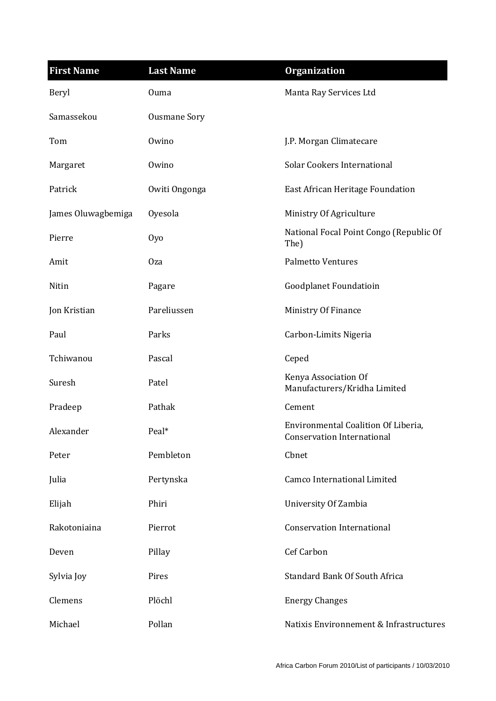| <b>First Name</b>  | <b>Last Name</b>    | <b>Organization</b>                                                      |
|--------------------|---------------------|--------------------------------------------------------------------------|
| Beryl              | <b>Ouma</b>         | Manta Ray Services Ltd                                                   |
| Samassekou         | <b>Ousmane Sory</b> |                                                                          |
| Tom                | Owino               | J.P. Morgan Climatecare                                                  |
| Margaret           | Owino               | <b>Solar Cookers International</b>                                       |
| Patrick            | Owiti Ongonga       | East African Heritage Foundation                                         |
| James Oluwagbemiga | Oyesola             | Ministry Of Agriculture                                                  |
| Pierre             | 0y <sub>0</sub>     | National Focal Point Congo (Republic Of<br>The)                          |
| Amit               | 0za                 | <b>Palmetto Ventures</b>                                                 |
| Nitin              | Pagare              | Goodplanet Foundatioin                                                   |
| Jon Kristian       | Pareliussen         | Ministry Of Finance                                                      |
| Paul               | Parks               | Carbon-Limits Nigeria                                                    |
| Tchiwanou          | Pascal              | Ceped                                                                    |
| Suresh             | Patel               | Kenya Association Of<br>Manufacturers/Kridha Limited                     |
| Pradeep            | Pathak              | Cement                                                                   |
| Alexander          | Peal*               | Environmental Coalition Of Liberia,<br><b>Conservation International</b> |
| Peter              | Pembleton           | Cbnet                                                                    |
| Julia              | Pertynska           | <b>Camco International Limited</b>                                       |
| Elijah             | Phiri               | University Of Zambia                                                     |
| Rakotoniaina       | Pierrot             | <b>Conservation International</b>                                        |
| Deven              | Pillay              | Cef Carbon                                                               |
| Sylvia Joy         | Pires               | <b>Standard Bank Of South Africa</b>                                     |
| Clemens            | Plöchl              | <b>Energy Changes</b>                                                    |
| Michael            | Pollan              | Natixis Environnement & Infrastructures                                  |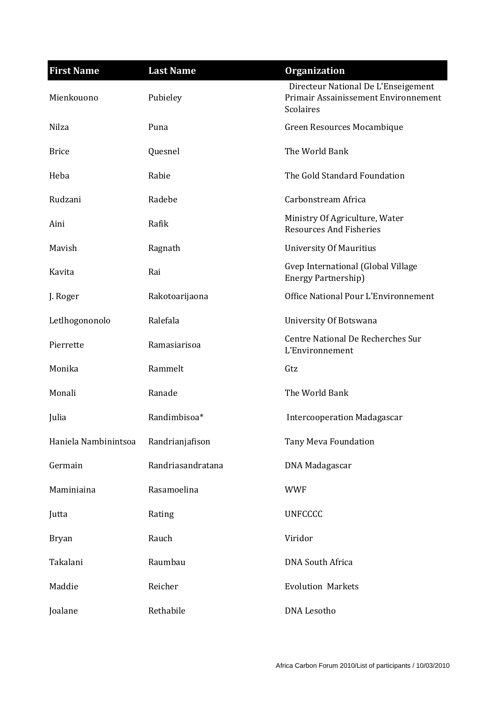| <b>First Name</b>    | <b>Last Name</b>  | <b>Organization</b>                                                                      |
|----------------------|-------------------|------------------------------------------------------------------------------------------|
| Mienkouono           | Pubieley          | Directeur National De L'Enseigement<br>Primair Assainissement Environnement<br>Scolaires |
| Nilza                | Puna              | Green Resources Mocambique                                                               |
| <b>Brice</b>         | Quesnel           | The World Bank                                                                           |
| Heba                 | Rabie             | The Gold Standard Foundation                                                             |
| Rudzani              | Radebe            | Carbonstream Africa                                                                      |
| Aini                 | Rafik             | Ministry Of Agriculture, Water<br><b>Resources And Fisheries</b>                         |
| Mavish               | Ragnath           | <b>University Of Mauritius</b>                                                           |
| Kavita               | Rai               | Gvep International (Global Village<br>Energy Partnership)                                |
| J. Roger             | Rakotoarijaona    | Office National Pour L'Environnement                                                     |
| Letlhogononolo       | Ralefala          | University Of Botswana                                                                   |
| Pierrette            | Ramasiarisoa      | Centre National De Recherches Sur<br>L'Environnement                                     |
| Monika               | Rammelt           | Gtz                                                                                      |
| Monali               | Ranade            | The World Bank                                                                           |
| Julia                | Randimbisoa*      | <b>Intercooperation Madagascar</b>                                                       |
| Haniela Nambinintsoa | Randrianjafison   | Tany Meva Foundation                                                                     |
| Germain              | Randriasandratana | DNA Madagascar                                                                           |
| Maminiaina           | Rasamoelina       | <b>WWF</b>                                                                               |
| Jutta                | Rating            | <b>UNFCCCC</b>                                                                           |
| <b>Bryan</b>         | Rauch             | Viridor                                                                                  |
| Takalani             | Raumbau           | <b>DNA South Africa</b>                                                                  |
| Maddie               | Reicher           | <b>Evolution Markets</b>                                                                 |
| Joalane              | Rethabile         | <b>DNA</b> Lesotho                                                                       |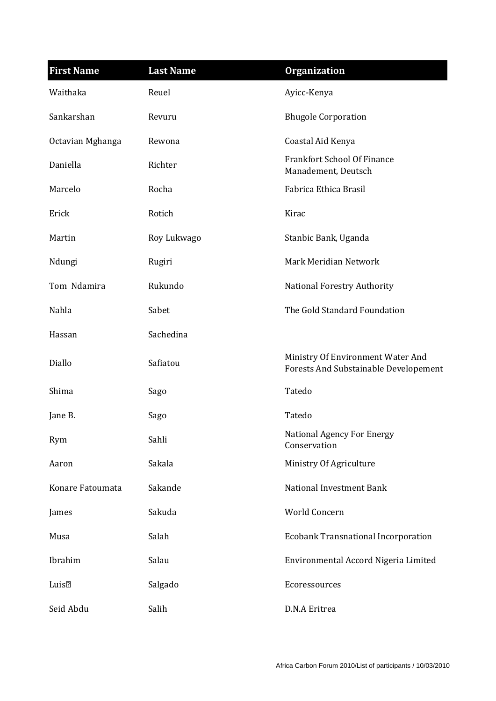| <b>First Name</b>   | <b>Last Name</b> | <b>Organization</b>                                                        |
|---------------------|------------------|----------------------------------------------------------------------------|
| Waithaka            | Reuel            | Ayicc-Kenya                                                                |
| Sankarshan          | Revuru           | <b>Bhugole Corporation</b>                                                 |
| Octavian Mghanga    | Rewona           | Coastal Aid Kenya                                                          |
| Daniella            | Richter          | <b>Frankfort School Of Finance</b><br>Manadement, Deutsch                  |
| Marcelo             | Rocha            | Fabrica Ethica Brasil                                                      |
| Erick               | Rotich           | Kirac                                                                      |
| Martin              | Roy Lukwago      | Stanbic Bank, Uganda                                                       |
| Ndungi              | Rugiri           | Mark Meridian Network                                                      |
| Tom Ndamira         | Rukundo          | <b>National Forestry Authority</b>                                         |
| Nahla               | Sabet            | The Gold Standard Foundation                                               |
| Hassan              | Sachedina        |                                                                            |
| Diallo              | Safiatou         | Ministry Of Environment Water And<br>Forests And Substainable Developement |
| Shima               | Sago             | Tatedo                                                                     |
| Jane B.             | Sago             | Tatedo                                                                     |
| Rym                 | Sahli            | National Agency For Energy<br>Conservation                                 |
| Aaron               | Sakala           | Ministry Of Agriculture                                                    |
| Konare Fatoumata    | Sakande          | <b>National Investment Bank</b>                                            |
| James               | Sakuda           | World Concern                                                              |
| Musa                | Salah            | <b>Ecobank Transnational Incorporation</b>                                 |
| Ibrahim             | Salau            | Environmental Accord Nigeria Limited                                       |
| Luis <sup>[2]</sup> | Salgado          | Ecoressources                                                              |
| Seid Abdu           | Salih            | D.N.A Eritrea                                                              |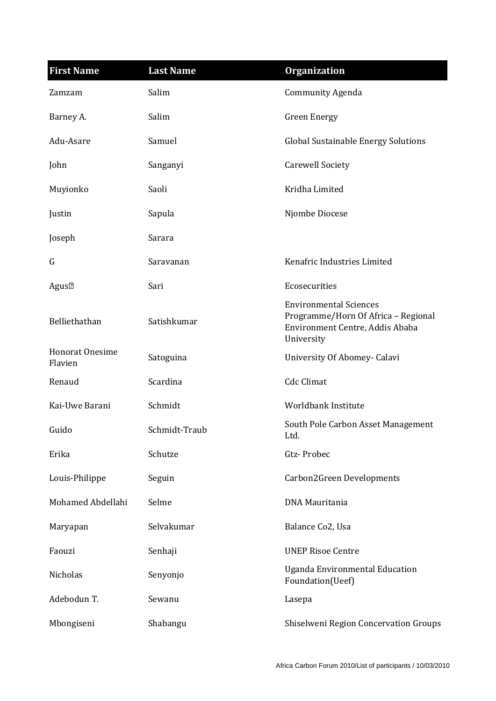| <b>First Name</b>          | <b>Last Name</b> | <b>Organization</b>                                                                                                   |
|----------------------------|------------------|-----------------------------------------------------------------------------------------------------------------------|
| Zamzam                     | Salim            | <b>Community Agenda</b>                                                                                               |
| Barney A.                  | Salim            | <b>Green Energy</b>                                                                                                   |
| Adu-Asare                  | Samuel           | <b>Global Sustainable Energy Solutions</b>                                                                            |
| John                       | Sanganyi         | <b>Carewell Society</b>                                                                                               |
| Muyionko                   | Saoli            | Kridha Limited                                                                                                        |
| Justin                     | Sapula           | Njombe Diocese                                                                                                        |
| Joseph                     | Sarara           |                                                                                                                       |
| G                          | Saravanan        | Kenafric Industries Limited                                                                                           |
| Agus <sup>[2]</sup>        | Sari             | Ecosecurities                                                                                                         |
| Belliethathan              | Satishkumar      | <b>Environmental Sciences</b><br>Programme/Horn Of Africa - Regional<br>Environment Centre, Addis Ababa<br>University |
| Honorat Onesime<br>Flavien | Satoguina        | University Of Abomey- Calavi                                                                                          |
| Renaud                     | Scardina         | <b>Cdc Climat</b>                                                                                                     |
| Kai-Uwe Barani             | Schmidt          | Worldbank Institute                                                                                                   |
| Guido                      | Schmidt-Traub    | South Pole Carbon Asset Management<br>Ltd.                                                                            |
| Erika                      | Schutze          | Gtz-Probec                                                                                                            |
| Louis-Philippe             | Seguin           | Carbon2Green Developments                                                                                             |
| Mohamed Abdellahi          | Selme            | <b>DNA Mauritania</b>                                                                                                 |
| Maryapan                   | Selvakumar       | Balance Co2, Usa                                                                                                      |
| Faouzi                     | Senhaji          | <b>UNEP Risoe Centre</b>                                                                                              |
| Nicholas                   | Senyonjo         | <b>Uganda Environmental Education</b><br>Foundation(Ueef)                                                             |
| Adebodun T.                | Sewanu           | Lasepa                                                                                                                |
| Mbongiseni                 | Shabangu         | Shiselweni Region Concervation Groups                                                                                 |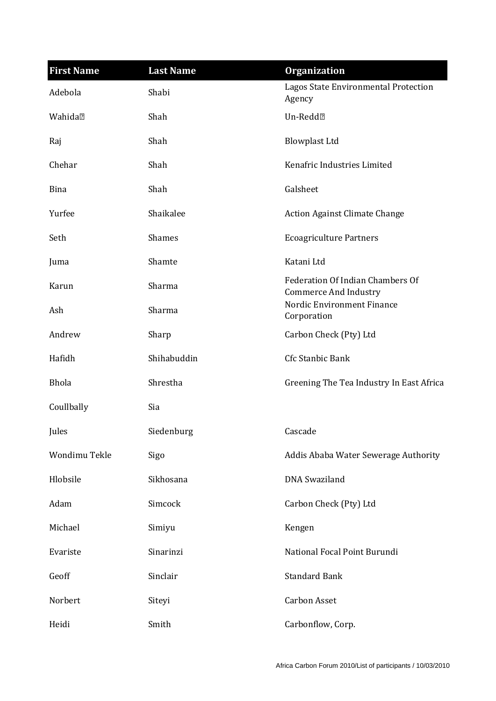| <b>First Name</b>   | <b>Last Name</b> | <b>Organization</b>                                              |
|---------------------|------------------|------------------------------------------------------------------|
| Adebola             | Shabi            | Lagos State Environmental Protection<br>Agency                   |
| Wahida <sup>?</sup> | Shah             | Un-Redd <sup>[2]</sup>                                           |
| Raj                 | Shah             | <b>Blowplast Ltd</b>                                             |
| Chehar              | Shah             | Kenafric Industries Limited                                      |
| Bina                | Shah             | Galsheet                                                         |
| Yurfee              | Shaikalee        | <b>Action Against Climate Change</b>                             |
| Seth                | <b>Shames</b>    | <b>Ecoagriculture Partners</b>                                   |
| Juma                | Shamte           | Katani Ltd                                                       |
| Karun               | Sharma           | Federation Of Indian Chambers Of<br><b>Commerce And Industry</b> |
| Ash                 | Sharma           | Nordic Environment Finance<br>Corporation                        |
| Andrew              | Sharp            | Carbon Check (Pty) Ltd                                           |
| Hafidh              | Shihabuddin      | Cfc Stanbic Bank                                                 |
| <b>Bhola</b>        | Shrestha         | Greening The Tea Industry In East Africa                         |
| Coullbally          | Sia              |                                                                  |
| Jules               | Siedenburg       | Cascade                                                          |
| Wondimu Tekle       | Sigo             | Addis Ababa Water Sewerage Authority                             |
| Hlobsile            | Sikhosana        | <b>DNA</b> Swaziland                                             |
| Adam                | Simcock          | Carbon Check (Pty) Ltd                                           |
| Michael             | Simiyu           | Kengen                                                           |
| Evariste            | Sinarinzi        | National Focal Point Burundi                                     |
| Geoff               | Sinclair         | <b>Standard Bank</b>                                             |
| Norbert             | Siteyi           | <b>Carbon Asset</b>                                              |
| Heidi               | Smith            | Carbonflow, Corp.                                                |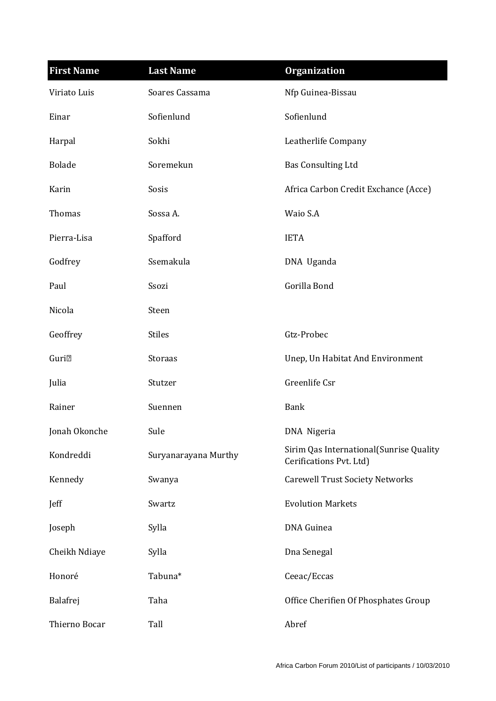| <b>First Name</b>        | <b>Last Name</b>     | <b>Organization</b>                                                |
|--------------------------|----------------------|--------------------------------------------------------------------|
| Viriato Luis             | Soares Cassama       | Nfp Guinea-Bissau                                                  |
| Einar                    | Sofienlund           | Sofienlund                                                         |
| Harpal                   | Sokhi                | Leatherlife Company                                                |
| <b>Bolade</b>            | Soremekun            | <b>Bas Consulting Ltd</b>                                          |
| Karin                    | Sosis                | Africa Carbon Credit Exchance (Acce)                               |
| Thomas                   | Sossa A.             | Waio S.A                                                           |
| Pierra-Lisa              | Spafford             | <b>IETA</b>                                                        |
| Godfrey                  | Ssemakula            | DNA Uganda                                                         |
| Paul                     | Ssozi                | Gorilla Bond                                                       |
| Nicola                   | Steen                |                                                                    |
| Geoffrey                 | <b>Stiles</b>        | Gtz-Probec                                                         |
| <b>Guri</b> <sub>2</sub> | Storaas              | Unep, Un Habitat And Environment                                   |
| Julia                    | Stutzer              | Greenlife Csr                                                      |
| Rainer                   | Suennen              | <b>Bank</b>                                                        |
| Jonah Okonche            | Sule                 | DNA Nigeria                                                        |
| Kondreddi                | Suryanarayana Murthy | Sirim Qas International(Sunrise Quality<br>Cerifications Pvt. Ltd) |
| Kennedy                  | Swanya               | <b>Carewell Trust Society Networks</b>                             |
| Jeff                     | Swartz               | <b>Evolution Markets</b>                                           |
| Joseph                   | Sylla                | DNA Guinea                                                         |
| Cheikh Ndiaye            | Sylla                | Dna Senegal                                                        |
| Honoré                   | Tabuna*              | Ceeac/Eccas                                                        |
| Balafrej                 | Taha                 | Office Cherifien Of Phosphates Group                               |
| Thierno Bocar            | Tall                 | Abref                                                              |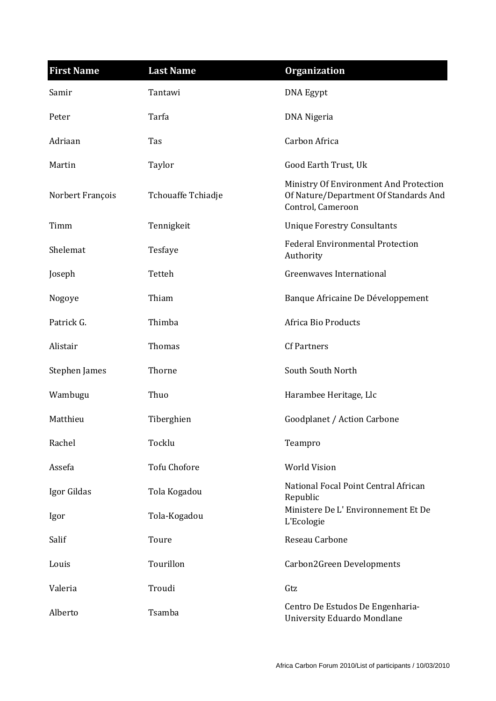| <b>First Name</b> | <b>Last Name</b>    | <b>Organization</b>                                                                                  |
|-------------------|---------------------|------------------------------------------------------------------------------------------------------|
| Samir             | Tantawi             | DNA Egypt                                                                                            |
| Peter             | Tarfa               | DNA Nigeria                                                                                          |
| Adriaan           | Tas                 | Carbon Africa                                                                                        |
| Martin            | Taylor              | Good Earth Trust, Uk                                                                                 |
| Norbert François  | Tchouaffe Tchiadje  | Ministry Of Environment And Protection<br>Of Nature/Department Of Standards And<br>Control, Cameroon |
| Timm              | Tennigkeit          | <b>Unique Forestry Consultants</b>                                                                   |
| Shelemat          | Tesfaye             | <b>Federal Environmental Protection</b><br>Authority                                                 |
| Joseph            | Tetteh              | Greenwayes International                                                                             |
| Nogoye            | Thiam               | Banque Africaine De Développement                                                                    |
| Patrick G.        | Thimba              | Africa Bio Products                                                                                  |
| Alistair          | Thomas              | <b>Cf Partners</b>                                                                                   |
| Stephen James     | Thorne              | South South North                                                                                    |
| Wambugu           | Thuo                | Harambee Heritage, Llc                                                                               |
| Matthieu          | Tiberghien          | Goodplanet / Action Carbone                                                                          |
| Rachel            | Tocklu              | Teampro                                                                                              |
| Assefa            | <b>Tofu Chofore</b> | <b>World Vision</b>                                                                                  |
| Igor Gildas       | Tola Kogadou        | National Focal Point Central African<br>Republic                                                     |
| Igor              | Tola-Kogadou        | Ministere De L'Environnement Et De<br>L'Ecologie                                                     |
| Salif             | Toure               | Reseau Carbone                                                                                       |
| Louis             | Tourillon           | Carbon2Green Developments                                                                            |
| Valeria           | Troudi              | Gtz                                                                                                  |
| Alberto           | Tsamba              | Centro De Estudos De Engenharia-<br>University Eduardo Mondlane                                      |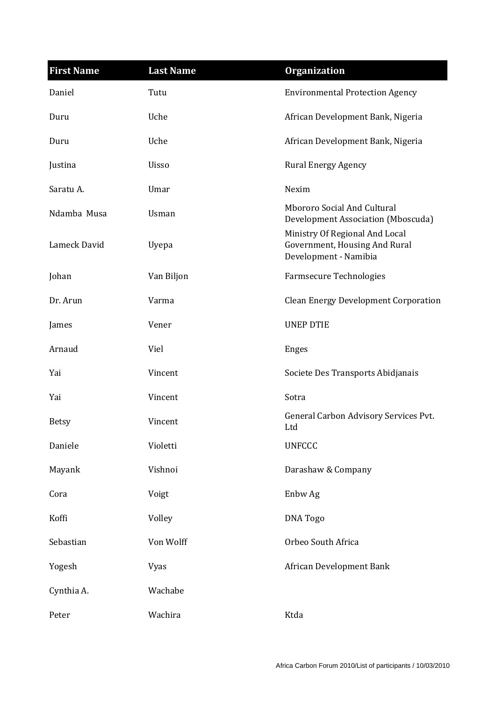| <b>First Name</b> | <b>Last Name</b> | <b>Organization</b>                                                                      |
|-------------------|------------------|------------------------------------------------------------------------------------------|
| Daniel            | Tutu             | <b>Environmental Protection Agency</b>                                                   |
| Duru              | Uche             | African Development Bank, Nigeria                                                        |
| Duru              | Uche             | African Development Bank, Nigeria                                                        |
| Justina           | <b>Uisso</b>     | <b>Rural Energy Agency</b>                                                               |
| Saratu A.         | Umar             | Nexim                                                                                    |
| Ndamba Musa       | Usman            | Mbororo Social And Cultural<br>Development Association (Mboscuda)                        |
| Lameck David      | Uyepa            | Ministry Of Regional And Local<br>Government, Housing And Rural<br>Development - Namibia |
| Johan             | Van Biljon       | <b>Farmsecure Technologies</b>                                                           |
| Dr. Arun          | Varma            | <b>Clean Energy Development Corporation</b>                                              |
| James             | Vener            | <b>UNEP DTIE</b>                                                                         |
| Arnaud            | Viel             | <b>Enges</b>                                                                             |
| Yai               | Vincent          | Societe Des Transports Abidjanais                                                        |
| Yai               | Vincent          | Sotra                                                                                    |
| <b>Betsy</b>      | Vincent          | General Carbon Advisory Services Pvt.<br>Ltd                                             |
| Daniele           | Violetti         | <b>UNFCCC</b>                                                                            |
| Mayank            | Vishnoi          | Darashaw & Company                                                                       |
| Cora              | Voigt            | Enbw Ag                                                                                  |
| Koffi             | Volley           | <b>DNA</b> Togo                                                                          |
| Sebastian         | Von Wolff        | Orbeo South Africa                                                                       |
| Yogesh            | Vyas             | African Development Bank                                                                 |
| Cynthia A.        | Wachabe          |                                                                                          |
| Peter             | Wachira          | Ktda                                                                                     |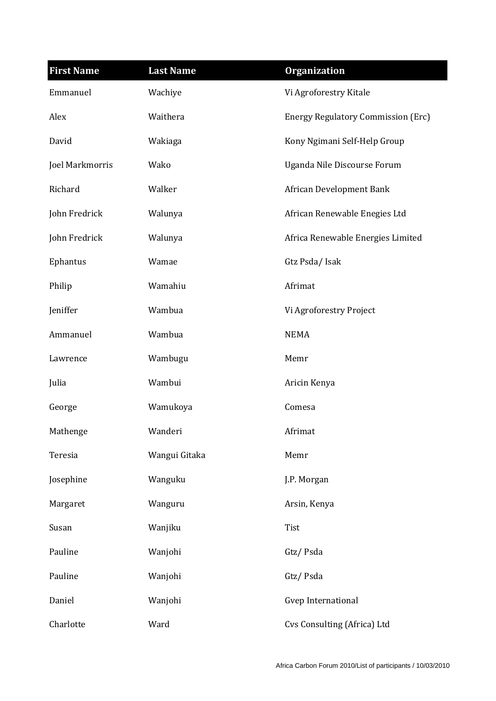| <b>First Name</b> | <b>Last Name</b> | <b>Organization</b>                       |
|-------------------|------------------|-------------------------------------------|
| Emmanuel          | Wachiye          | Vi Agroforestry Kitale                    |
| Alex              | Waithera         | <b>Energy Regulatory Commission (Erc)</b> |
| David             | Wakiaga          | Kony Ngimani Self-Help Group              |
| Joel Markmorris   | Wako             | Uganda Nile Discourse Forum               |
| Richard           | Walker           | African Development Bank                  |
| John Fredrick     | Walunya          | African Renewable Enegies Ltd             |
| John Fredrick     | Walunya          | Africa Renewable Energies Limited         |
| Ephantus          | Wamae            | Gtz Psda/Isak                             |
| Philip            | Wamahiu          | Afrimat                                   |
| Jeniffer          | Wambua           | Vi Agroforestry Project                   |
| Ammanuel          | Wambua           | <b>NEMA</b>                               |
| Lawrence          | Wambugu          | Memr                                      |
| Julia             | Wambui           | Aricin Kenya                              |
| George            | Wamukoya         | Comesa                                    |
| Mathenge          | Wanderi          | Afrimat                                   |
| Teresia           | Wangui Gitaka    | Memr                                      |
| Josephine         | Wanguku          | J.P. Morgan                               |
| Margaret          | Wanguru          | Arsin, Kenya                              |
| Susan             | Wanjiku          | Tist                                      |
| Pauline           | Wanjohi          | Gtz/Psda                                  |
| Pauline           | Wanjohi          | Gtz/Psda                                  |
| Daniel            | Wanjohi          | Gvep International                        |
| Charlotte         | Ward             | Cvs Consulting (Africa) Ltd               |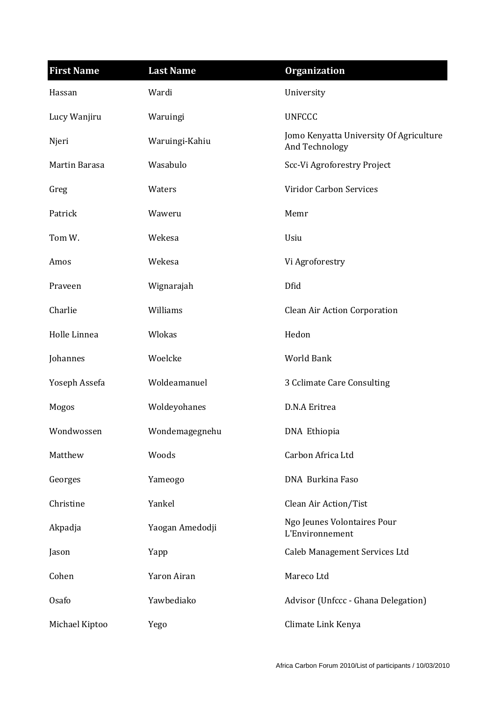| <b>First Name</b> | <b>Last Name</b> | <b>Organization</b>                                       |
|-------------------|------------------|-----------------------------------------------------------|
| Hassan            | Wardi            | University                                                |
| Lucy Wanjiru      | Waruingi         | <b>UNFCCC</b>                                             |
| Njeri             | Waruingi-Kahiu   | Jomo Kenyatta University Of Agriculture<br>And Technology |
| Martin Barasa     | Wasabulo         | Scc-Vi Agroforestry Project                               |
| Greg              | Waters           | <b>Viridor Carbon Services</b>                            |
| Patrick           | Waweru           | Memr                                                      |
| Tom W.            | Wekesa           | Usiu                                                      |
| Amos              | Wekesa           | Vi Agroforestry                                           |
| Praveen           | Wignarajah       | Dfid                                                      |
| Charlie           | Williams         | <b>Clean Air Action Corporation</b>                       |
| Holle Linnea      | Wlokas           | Hedon                                                     |
| Johannes          | Woelcke          | <b>World Bank</b>                                         |
| Yoseph Assefa     | Woldeamanuel     | 3 Cclimate Care Consulting                                |
| Mogos             | Woldeyohanes     | D.N.A Eritrea                                             |
| Wondwossen        | Wondemagegnehu   | DNA Ethiopia                                              |
| Matthew           | Woods            | Carbon Africa Ltd                                         |
| Georges           | Yameogo          | DNA Burkina Faso                                          |
| Christine         | Yankel           | Clean Air Action/Tist                                     |
| Akpadja           | Yaogan Amedodji  | Ngo Jeunes Volontaires Pour<br>L'Environnement            |
| Jason             | Yapp             | Caleb Management Services Ltd                             |
| Cohen             | Yaron Airan      | Mareco Ltd                                                |
| Osafo             | Yawbediako       | Advisor (Unfccc - Ghana Delegation)                       |
| Michael Kiptoo    | Yego             | Climate Link Kenya                                        |